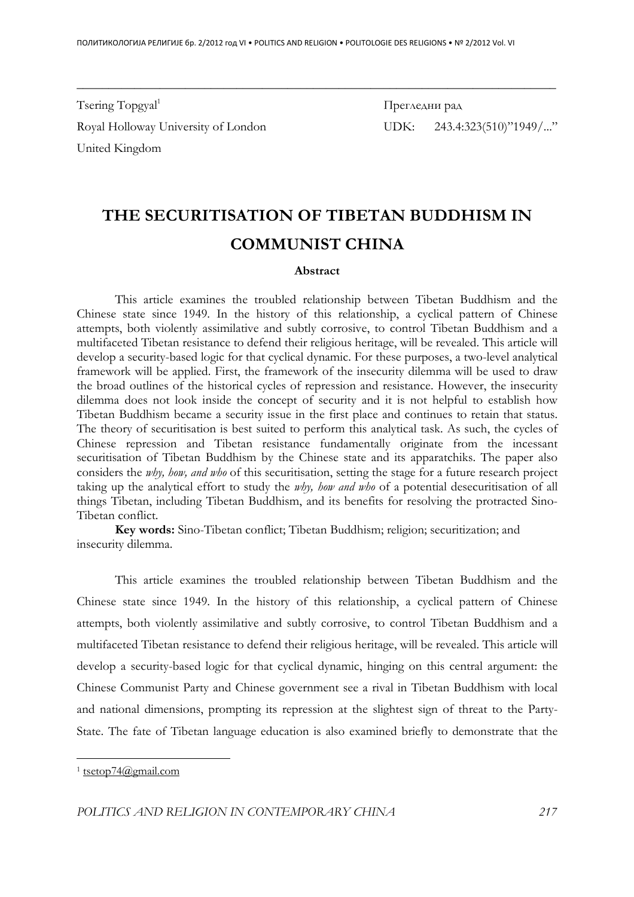Tsering  $Topegal<sup>1</sup>$ Royal Holloway University of London UDK: 243.4:323(510)"1949/..." United Kingdom

Прегледни рад

# **THE SECURITISATION OF TIBETAN BUDDHISM IN COMMUNIST CHINA**

\_\_\_\_\_\_\_\_\_\_\_\_\_\_\_\_\_\_\_\_\_\_\_\_\_\_\_\_\_\_\_\_\_\_\_\_\_\_\_\_\_\_\_\_\_\_\_\_\_\_\_\_\_\_\_\_\_\_\_\_\_\_\_\_\_\_\_\_\_\_\_\_\_\_\_

#### **Abstract**

 This article examines the troubled relationship between Tibetan Buddhism and the Chinese state since 1949. In the history of this relationship, a cyclical pattern of Chinese attempts, both violently assimilative and subtly corrosive, to control Tibetan Buddhism and a multifaceted Tibetan resistance to defend their religious heritage, will be revealed. This article will develop a security-based logic for that cyclical dynamic. For these purposes, a two-level analytical framework will be applied. First, the framework of the insecurity dilemma will be used to draw the broad outlines of the historical cycles of repression and resistance. However, the insecurity dilemma does not look inside the concept of security and it is not helpful to establish how Tibetan Buddhism became a security issue in the first place and continues to retain that status. The theory of securitisation is best suited to perform this analytical task. As such, the cycles of Chinese repression and Tibetan resistance fundamentally originate from the incessant securitisation of Tibetan Buddhism by the Chinese state and its apparatchiks. The paper also considers the *why, how, and who* of this securitisation, setting the stage for a future research project taking up the analytical effort to study the *why, how and who* of a potential desecuritisation of all things Tibetan, including Tibetan Buddhism, and its benefits for resolving the protracted Sino-Tibetan conflict.

**Key words:** Sino-Tibetan conflict; Tibetan Buddhism; religion; securitization; and insecurity dilemma.

This article examines the troubled relationship between Tibetan Buddhism and the Chinese state since 1949. In the history of this relationship, a cyclical pattern of Chinese attempts, both violently assimilative and subtly corrosive, to control Tibetan Buddhism and a multifaceted Tibetan resistance to defend their religious heritage, will be revealed. This article will develop a security-based logic for that cyclical dynamic, hinging on this central argument: the Chinese Communist Party and Chinese government see a rival in Tibetan Buddhism with local and national dimensions, prompting its repression at the slightest sign of threat to the Party-State. The fate of Tibetan language education is also examined briefly to demonstrate that the

<sup>1</sup> tsetop74@gmail.com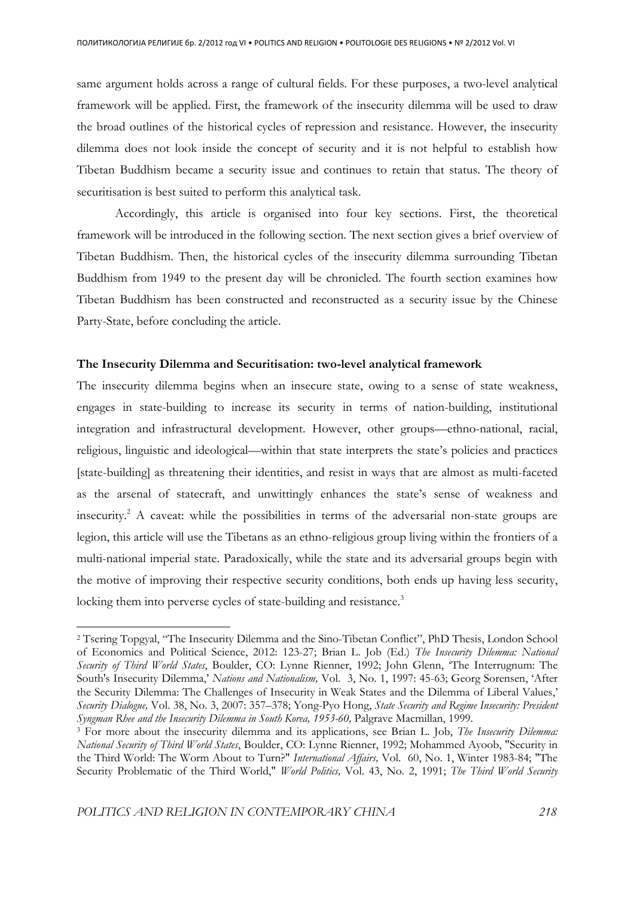same argument holds across a range of cultural fields. For these purposes, a two-level analytical framework will be applied. First, the framework of the insecurity dilemma will be used to draw the broad outlines of the historical cycles of repression and resistance. However, the insecurity dilemma does not look inside the concept of security and it is not helpful to establish how Tibetan Buddhism became a security issue and continues to retain that status. The theory of securitisation is best suited to perform this analytical task.

 Accordingly, this article is organised into four key sections. First, the theoretical framework will be introduced in the following section. The next section gives a brief overview of Tibetan Buddhism. Then, the historical cycles of the insecurity dilemma surrounding Tibetan Buddhism from 1949 to the present day will be chronicled. The fourth section examines how Tibetan Buddhism has been constructed and reconstructed as a security issue by the Chinese Party-State, before concluding the article.

## **The Insecurity Dilemma and Securitisation: two-level analytical framework**

The insecurity dilemma begins when an insecure state, owing to a sense of state weakness, engages in state-building to increase its security in terms of nation-building, institutional integration and infrastructural development. However, other groups—ethno-national, racial, religious, linguistic and ideological—within that state interprets the state's policies and practices [state-building] as threatening their identities, and resist in ways that are almost as multi-faceted as the arsenal of statecraft, and unwittingly enhances the state's sense of weakness and insecurity.<sup>2</sup> A caveat: while the possibilities in terms of the adversarial non-state groups are legion, this article will use the Tibetans as an ethno-religious group living within the frontiers of a multi-national imperial state. Paradoxically, while the state and its adversarial groups begin with the motive of improving their respective security conditions, both ends up having less security, locking them into perverse cycles of state-building and resistance.<sup>3</sup>

<sup>2</sup> Tsering Topgyal, "The Insecurity Dilemma and the Sino-Tibetan Conflict", PhD Thesis, London School of Economics and Political Science, 2012: 123-27; Brian L. Job (Ed.) *The Insecurity Dilemma: National Security of Third World States*, Boulder, CO: Lynne Rienner, 1992; John Glenn, 'The Interrugnum: The South's Insecurity Dilemma,' *Nations and Nationalism,* Vol. 3, No. 1, 1997: 45-63; Georg Sorensen, 'After the Security Dilemma: The Challenges of Insecurity in Weak States and the Dilemma of Liberal Values,' *Security Dialogue,* Vol. 38, No. 3, 2007: 357–378; Yong-Pyo Hong, *State Security and Regime Insecurity: President Syngman Rhee and the Insecurity Dilemma in South Korea, 1953-60,* Palgrave Macmillan, 1999.

<sup>3</sup> For more about the insecurity dilemma and its applications, see Brian L. Job, *The Insecurity Dilemma: National Security of Third World States*, Boulder, CO: Lynne Rienner, 1992; Mohammed Ayoob, "Security in the Third World: The Worm About to Turn?" *International Affairs,* Vol. 60, No. 1, Winter 1983-84; "The Security Problematic of the Third World," *World Politics,* Vol. 43, No. 2, 1991; *The Third World Security*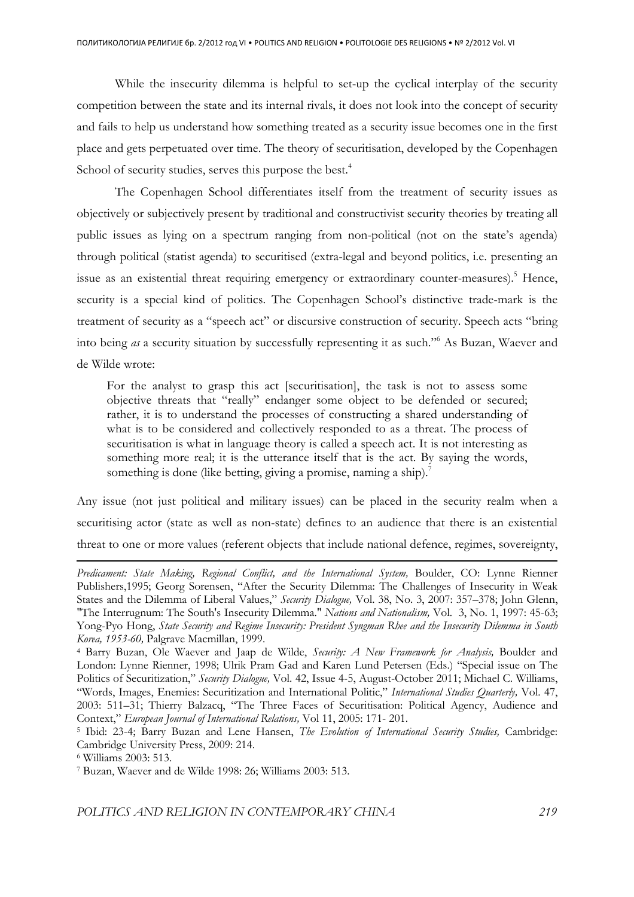While the insecurity dilemma is helpful to set-up the cyclical interplay of the security competition between the state and its internal rivals, it does not look into the concept of security and fails to help us understand how something treated as a security issue becomes one in the first place and gets perpetuated over time. The theory of securitisation, developed by the Copenhagen School of security studies, serves this purpose the best.<sup>4</sup>

 The Copenhagen School differentiates itself from the treatment of security issues as objectively or subjectively present by traditional and constructivist security theories by treating all public issues as lying on a spectrum ranging from non-political (not on the state's agenda) through political (statist agenda) to securitised (extra-legal and beyond politics, i.e. presenting an issue as an existential threat requiring emergency or extraordinary counter-measures).<sup>5</sup> Hence, security is a special kind of politics. The Copenhagen School's distinctive trade-mark is the treatment of security as a "speech act" or discursive construction of security. Speech acts "bring into being *as* a security situation by successfully representing it as such."<sup>6</sup> As Buzan, Waever and de Wilde wrote:

For the analyst to grasp this act [securitisation], the task is not to assess some objective threats that "really" endanger some object to be defended or secured; rather, it is to understand the processes of constructing a shared understanding of what is to be considered and collectively responded to as a threat. The process of securitisation is what in language theory is called a speech act. It is not interesting as something more real; it is the utterance itself that is the act. By saying the words, something is done (like betting, giving a promise, naming a ship).<sup>7</sup>

Any issue (not just political and military issues) can be placed in the security realm when a securitising actor (state as well as non-state) defines to an audience that there is an existential threat to one or more values (referent objects that include national defence, regimes, sovereignty,

*Predicament: State Making, Regional Conflict, and the International System,* Boulder, CO: Lynne Rienner Publishers,1995; Georg Sorensen, "After the Security Dilemma: The Challenges of Insecurity in Weak States and the Dilemma of Liberal Values," *Security Dialogue,* Vol. 38, No. 3, 2007: 357–378; John Glenn, "The Interrugnum: The South's Insecurity Dilemma." *Nations and Nationalism,* Vol. 3, No. 1, 1997: 45-63; Yong-Pyo Hong, *State Security and Regime Insecurity: President Syngman Rhee and the Insecurity Dilemma in South Korea, 1953-60,* Palgrave Macmillan, 1999.

<sup>4</sup> Barry Buzan, Ole Waever and Jaap de Wilde, *Security: A New Framework for Analysis,* Boulder and London: Lynne Rienner, 1998; Ulrik Pram Gad and Karen Lund Petersen (Eds.) "Special issue on The Politics of Securitization," *Security Dialogue,* Vol. 42, Issue 4-5, August-October 2011; Michael C. Williams, "Words, Images, Enemies: Securitization and International Politic," *International Studies Quarterly,* Vol. 47, 2003: 511–31; Thierry Balzacq, "The Three Faces of Securitisation: Political Agency, Audience and Context," *European Journal of International Relations,* Vol 11, 2005: 171- 201.

<sup>5</sup> Ibid: 23-4; Barry Buzan and Lene Hansen, *The Evolution of International Security Studies,* Cambridge: Cambridge University Press, 2009: 214.

<sup>6</sup> Williams 2003: 513.

<sup>7</sup> Buzan, Waever and de Wilde 1998: 26; Williams 2003: 513.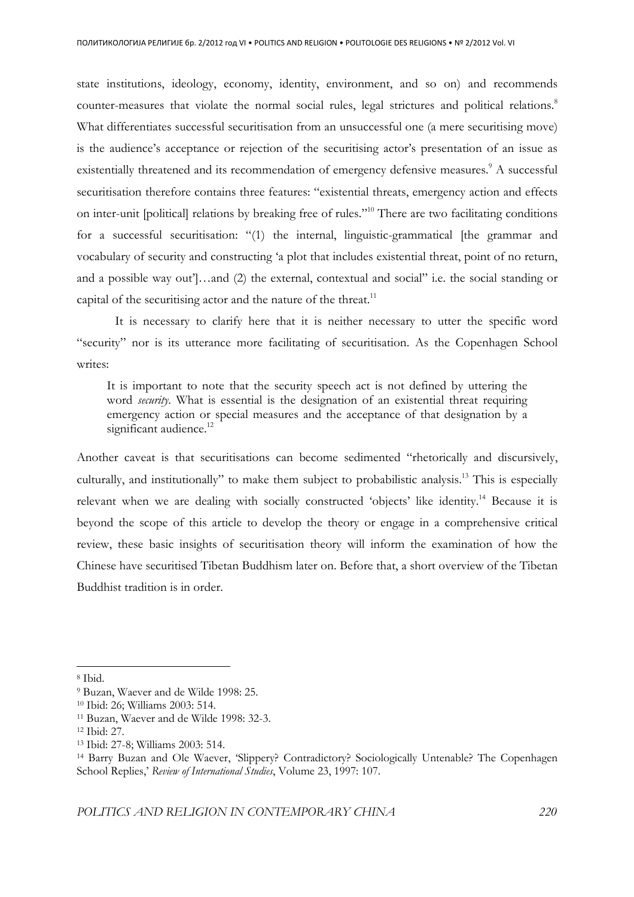state institutions, ideology, economy, identity, environment, and so on) and recommends counter-measures that violate the normal social rules, legal strictures and political relations.<sup>8</sup> What differentiates successful securitisation from an unsuccessful one (a mere securitising move) is the audience's acceptance or rejection of the securitising actor's presentation of an issue as existentially threatened and its recommendation of emergency defensive measures.<sup>9</sup> A successful securitisation therefore contains three features: "existential threats, emergency action and effects on inter-unit [political] relations by breaking free of rules."<sup>10</sup> There are two facilitating conditions for a successful securitisation: "(1) the internal, linguistic-grammatical [the grammar and vocabulary of security and constructing 'a plot that includes existential threat, point of no return, and a possible way out']…and (2) the external, contextual and social" i.e. the social standing or capital of the securitising actor and the nature of the threat. $11$ 

It is necessary to clarify here that it is neither necessary to utter the specific word "security" nor is its utterance more facilitating of securitisation. As the Copenhagen School writes:

It is important to note that the security speech act is not defined by uttering the word *security*. What is essential is the designation of an existential threat requiring emergency action or special measures and the acceptance of that designation by a significant audience.<sup>12</sup>

Another caveat is that securitisations can become sedimented "rhetorically and discursively, culturally, and institutionally" to make them subject to probabilistic analysis.<sup>13</sup> This is especially relevant when we are dealing with socially constructed 'objects' like identity.<sup>14</sup> Because it is beyond the scope of this article to develop the theory or engage in a comprehensive critical review, these basic insights of securitisation theory will inform the examination of how the Chinese have securitised Tibetan Buddhism later on. Before that, a short overview of the Tibetan Buddhist tradition is in order.

<sup>8</sup> Ibid.

<sup>9</sup> Buzan, Waever and de Wilde 1998: 25.

<sup>10</sup> Ibid: 26; Williams 2003: 514.

<sup>11</sup> Buzan, Waever and de Wilde 1998: 32-3.

<sup>12</sup> Ibid: 27.

<sup>13</sup> Ibid: 27-8; Williams 2003: 514.

<sup>14</sup> Barry Buzan and Ole Waever, 'Slippery? Contradictory? Sociologically Untenable? The Copenhagen School Replies,' *Review of International Studies*, Volume 23, 1997: 107.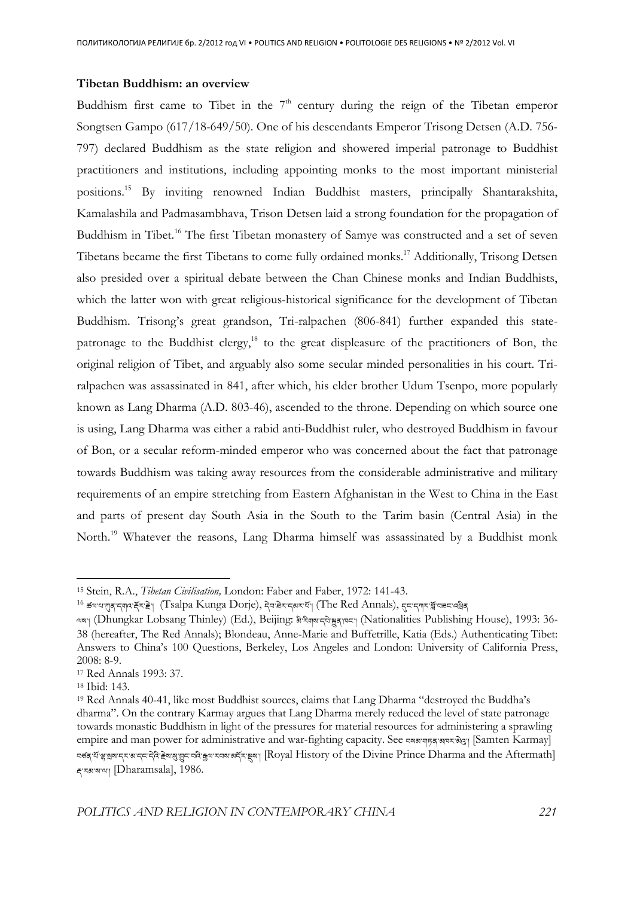## **Tibetan Buddhism: an overview**

Buddhism first came to Tibet in the  $7<sup>th</sup>$  century during the reign of the Tibetan emperor Songtsen Gampo (617/18-649/50). One of his descendants Emperor Trisong Detsen (A.D. 756- 797) declared Buddhism as the state religion and showered imperial patronage to Buddhist practitioners and institutions, including appointing monks to the most important ministerial positions.<sup>15</sup> By inviting renowned Indian Buddhist masters, principally Shantarakshita, Kamalashila and Padmasambhava, Trison Detsen laid a strong foundation for the propagation of Buddhism in Tibet.<sup>16</sup> The first Tibetan monastery of Samye was constructed and a set of seven Tibetans became the first Tibetans to come fully ordained monks.<sup>17</sup> Additionally, Trisong Detsen also presided over a spiritual debate between the Chan Chinese monks and Indian Buddhists, which the latter won with great religious-historical significance for the development of Tibetan Buddhism. Trisong's great grandson, Tri-ralpachen (806-841) further expanded this statepatronage to the Buddhist clergy, $^{18}$  to the great displeasure of the practitioners of Bon, the original religion of Tibet, and arguably also some secular minded personalities in his court. Triralpachen was assassinated in 841, after which, his elder brother Udum Tsenpo, more popularly known as Lang Dharma (A.D. 803-46), ascended to the throne. Depending on which source one is using, Lang Dharma was either a rabid anti-Buddhist ruler, who destroyed Buddhism in favour of Bon, or a secular reform-minded emperor who was concerned about the fact that patronage towards Buddhism was taking away resources from the considerable administrative and military requirements of an empire stretching from Eastern Afghanistan in the West to China in the East and parts of present day South Asia in the South to the Tarim basin (Central Asia) in the North.<sup>19</sup> Whatever the reasons, Lang Dharma himself was assassinated by a Buddhist monk

l

<sup>15</sup> Stein, R.A., *Tibetan Civilisation,* London: Faber and Faber, 1972: 141-43.

 $^{16}$  ङ $\,$ षण्ड्राद्मुव:क्रॅ्ट्रा (Tsalpa Kunga Dorje), देव:बेर:द्बरसॅग (The Red Annals), तुम:द्वगर:ब्लॅंच्च्च:वड्डेब्

લજણ (Dhungkar Lobsang Thinley) (Ed.), Beijing: విష్యూష સેજ્ઞાજણ (Nationalities Publishing House), 1993: 36-38 (hereafter, The Red Annals); Blondeau, Anne-Marie and Buffetrille, Katia (Eds.) Authenticating Tibet: Answers to China's 100 Questions, Berkeley, Los Angeles and London: University of California Press, 2008: 8-9.

<sup>17</sup> Red Annals 1993: 37.

<sup>18</sup> Ibid: 143.

<sup>19</sup> Red Annals 40-41, like most Buddhist sources, claims that Lang Dharma "destroyed the Buddha's dharma". On the contrary Karmay argues that Lang Dharma merely reduced the level of state patronage towards monastic Buddhism in light of the pressures for material resources for administering a sprawling empire and man power for administrative and war-fighting capacity. See वराबर पाइन आवर बेदुः। [Samten Karmay] नर्डद र्ये शुशुषा दर अदर देते हेल शुशुर नदे कुष राज अर्दर ख़ुला [Royal History of the Divine Prince Dharma and the Aftermath] द्<sup>न्</sup>रब्गञ्चा [Dharamsala], 1986.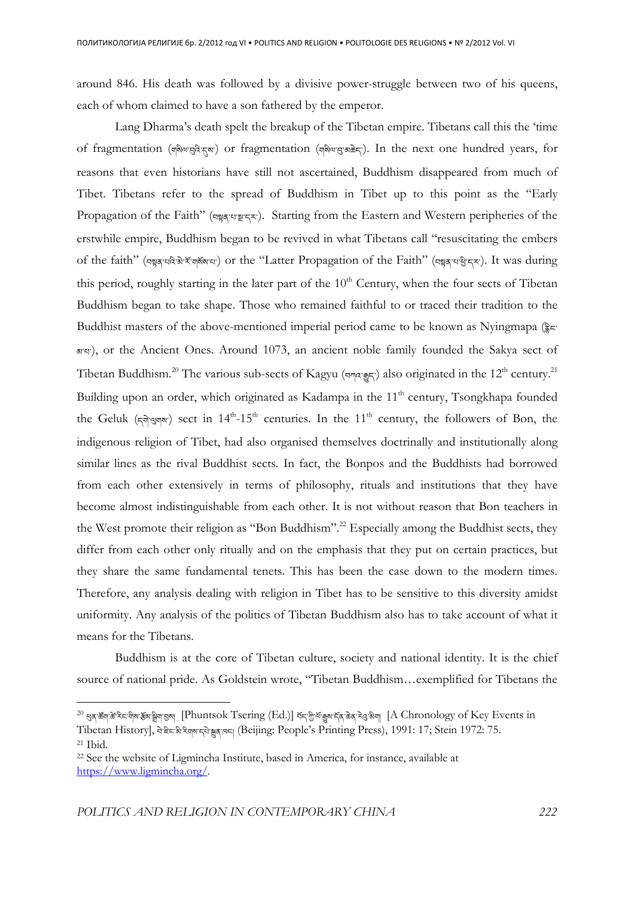around 846. His death was followed by a divisive power-struggle between two of his queens, each of whom claimed to have a son fathered by the emperor.

 Lang Dharma's death spelt the breakup of the Tibetan empire. Tibetans call this the 'time of fragmentation (ज़बेयासुदे!रुबा) or fragmentation (ज़बेयासु अक्रेद). In the next one hundred years, for reasons that even historians have still not ascertained, Buddhism disappeared from much of Tibet. Tibetans refer to the spread of Buddhism in Tibet up to this point as the "Early Propagation of the Faith" (བསྲུན་པ་སྲུ་ར་). Starting from the Eastern and Western peripheries of the erstwhile empire, Buddhism began to be revived in what Tibetans call "resuscitating the embers of the faith" (བསྲུན་པའེ་མེ་རོ་གསོས་པ་) or the "Latter Propagation of the Faith" (བསྲུན་པ་ལྲི་དར་). It was during this period, roughly starting in the later part of the  $10<sup>th</sup>$  Century, when the four sects of Tibetan Buddhism began to take shape. Those who remained faithful to or traced their tradition to the Buddhist masters of the above-mentioned imperial period came to be known as Nyingmapa  $(\frac{2}{3}c)^{2}$ མ་པ་), or the Ancient Ones. Around 1073, an ancient noble family founded the Sakya sect of Tibetan Buddhism.<sup>20</sup> The various sub-sects of Kagyu (བཀའ་རྒྱང་) also originated in the 12<sup>th</sup> century.<sup>21</sup> Building upon an order, which originated as Kadampa in the 11<sup>th</sup> century, Tsongkhapa founded the Geluk ( $\pi$ qiqqqv) sect in 14<sup>th</sup>-15<sup>th</sup> centuries. In the 11<sup>th</sup> century, the followers of Bon, the indigenous religion of Tibet, had also organised themselves doctrinally and institutionally along similar lines as the rival Buddhist sects. In fact, the Bonpos and the Buddhists had borrowed from each other extensively in terms of philosophy, rituals and institutions that they have become almost indistinguishable from each other. It is not without reason that Bon teachers in the West promote their religion as "Bon Buddhism".<sup>22</sup> Especially among the Buddhist sects, they differ from each other only ritually and on the emphasis that they put on certain practices, but they share the same fundamental tenets. This has been the case down to the modern times. Therefore, any analysis dealing with religion in Tibet has to be sensitive to this diversity amidst uniformity. Any analysis of the politics of Tibetan Buddhism also has to take account of what it means for the Tibetans.

 Buddhism is at the core of Tibetan culture, society and national identity. It is the chief source of national pride. As Goldstein wrote, "Tibetan Buddhism...exemplified for Tibetans the

l

<sup>20</sup> ga ซึต ซึ่ง จะ จิต ซึ่ง จิต สิต สุด Sang [Phuntsok Tsering (Ed.)] จัราติ จัตุ จัตุ จัลส จิต สุด ลิต [A Chronology of Key Events in Tibetan History], नेहेन्द्री रेणबादुरी क्का (Beijing: People's Printing Press), 1991: 17; Stein 1972: 75.

<sup>21</sup> Ibid.

<sup>22</sup> See the website of Ligmincha Institute, based in America, for instance, available at https://www.ligmincha.org/.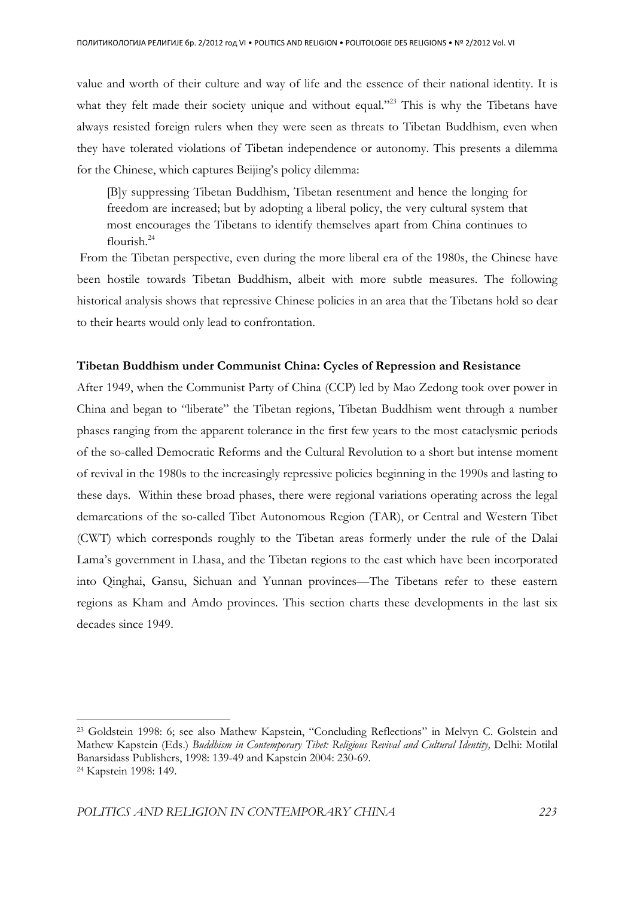value and worth of their culture and way of life and the essence of their national identity. It is what they felt made their society unique and without equal."<sup>23</sup> This is why the Tibetans have always resisted foreign rulers when they were seen as threats to Tibetan Buddhism, even when they have tolerated violations of Tibetan independence or autonomy. This presents a dilemma for the Chinese, which captures Beijing's policy dilemma:

[B]y suppressing Tibetan Buddhism, Tibetan resentment and hence the longing for freedom are increased; but by adopting a liberal policy, the very cultural system that most encourages the Tibetans to identify themselves apart from China continues to flourish.<sup>24</sup>

 From the Tibetan perspective, even during the more liberal era of the 1980s, the Chinese have been hostile towards Tibetan Buddhism, albeit with more subtle measures. The following historical analysis shows that repressive Chinese policies in an area that the Tibetans hold so dear to their hearts would only lead to confrontation.

## **Tibetan Buddhism under Communist China: Cycles of Repression and Resistance**

After 1949, when the Communist Party of China (CCP) led by Mao Zedong took over power in China and began to "liberate" the Tibetan regions, Tibetan Buddhism went through a number phases ranging from the apparent tolerance in the first few years to the most cataclysmic periods of the so-called Democratic Reforms and the Cultural Revolution to a short but intense moment of revival in the 1980s to the increasingly repressive policies beginning in the 1990s and lasting to these days. Within these broad phases, there were regional variations operating across the legal demarcations of the so-called Tibet Autonomous Region (TAR), or Central and Western Tibet (CWT) which corresponds roughly to the Tibetan areas formerly under the rule of the Dalai Lama's government in Lhasa, and the Tibetan regions to the east which have been incorporated into Qinghai, Gansu, Sichuan and Yunnan provinces—The Tibetans refer to these eastern regions as Kham and Amdo provinces. This section charts these developments in the last six decades since 1949.

<sup>23</sup> Goldstein 1998: 6; see also Mathew Kapstein, "Concluding Reflections" in Melvyn C. Golstein and Mathew Kapstein (Eds.) *Buddhism in Contemporary Tibet: Religious Revival and Cultural Identity*, Delhi: Motilal Banarsidass Publishers, 1998: 139-49 and Kapstein 2004: 230-69. 24 Kapstein 1998: 149.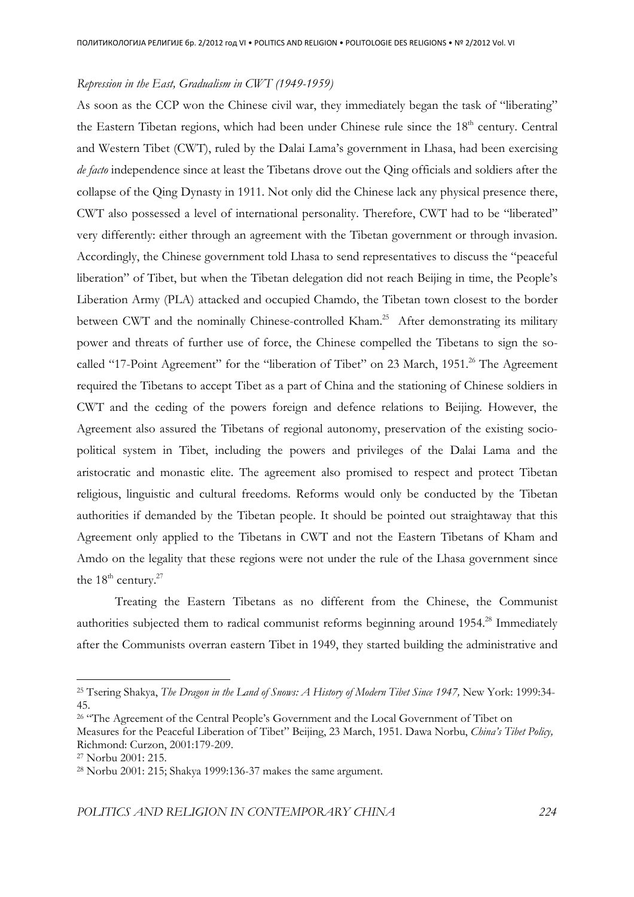#### *Repression in the East, Gradualism in CWT (1949-1959)*

As soon as the CCP won the Chinese civil war, they immediately began the task of "liberating" the Eastern Tibetan regions, which had been under Chinese rule since the  $18<sup>th</sup>$  century. Central and Western Tibet (CWT), ruled by the Dalai Lama's government in Lhasa, had been exercising *de facto* independence since at least the Tibetans drove out the Qing officials and soldiers after the collapse of the Qing Dynasty in 1911. Not only did the Chinese lack any physical presence there, CWT also possessed a level of international personality. Therefore, CWT had to be "liberated" very differently: either through an agreement with the Tibetan government or through invasion. Accordingly, the Chinese government told Lhasa to send representatives to discuss the "peaceful liberation" of Tibet, but when the Tibetan delegation did not reach Beijing in time, the People's Liberation Army (PLA) attacked and occupied Chamdo, the Tibetan town closest to the border between CWT and the nominally Chinese-controlled Kham.<sup>25</sup> After demonstrating its military power and threats of further use of force, the Chinese compelled the Tibetans to sign the socalled "17-Point Agreement" for the "liberation of Tibet" on 23 March, 1951.<sup>26</sup> The Agreement required the Tibetans to accept Tibet as a part of China and the stationing of Chinese soldiers in CWT and the ceding of the powers foreign and defence relations to Beijing. However, the Agreement also assured the Tibetans of regional autonomy, preservation of the existing sociopolitical system in Tibet, including the powers and privileges of the Dalai Lama and the aristocratic and monastic elite. The agreement also promised to respect and protect Tibetan religious, linguistic and cultural freedoms. Reforms would only be conducted by the Tibetan authorities if demanded by the Tibetan people. It should be pointed out straightaway that this Agreement only applied to the Tibetans in CWT and not the Eastern Tibetans of Kham and Amdo on the legality that these regions were not under the rule of the Lhasa government since the  $18^{\text{th}}$  century.<sup>27</sup>

 Treating the Eastern Tibetans as no different from the Chinese, the Communist authorities subjected them to radical communist reforms beginning around 1954.<sup>28</sup> Immediately after the Communists overran eastern Tibet in 1949, they started building the administrative and

<sup>25</sup> Tsering Shakya, *The Dragon in the Land of Snows: A History of Modern Tibet Since 1947,* New York: 1999:34- 45.

<sup>&</sup>lt;sup>26</sup> "The Agreement of the Central People's Government and the Local Government of Tibet on

Measures for the Peaceful Liberation of Tibet" Beijing, 23 March, 1951. Dawa Norbu, *China's Tibet Policy,*  Richmond: Curzon, 2001:179-209.

<sup>27</sup> Norbu 2001: 215.

<sup>28</sup> Norbu 2001: 215; Shakya 1999:136-37 makes the same argument.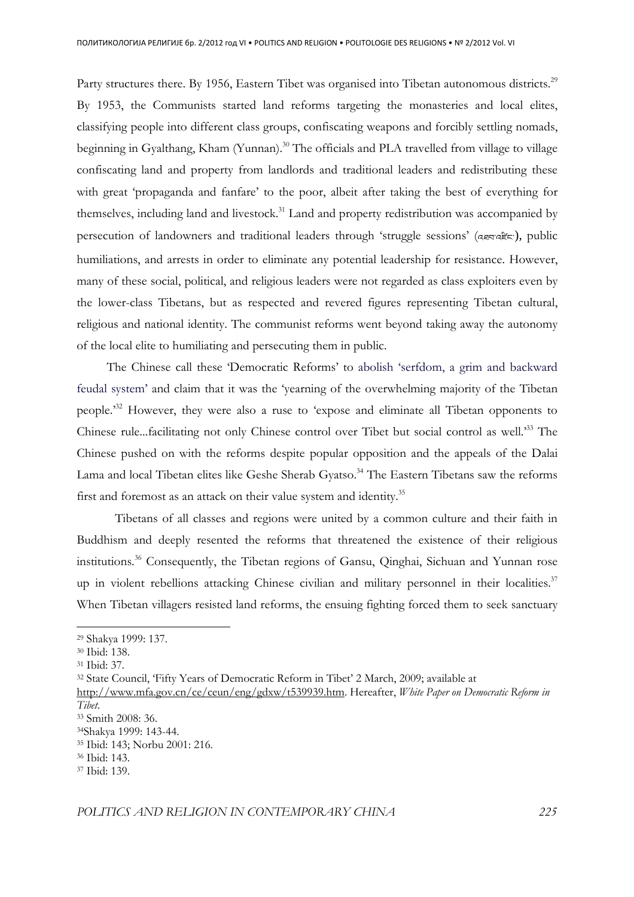Party structures there. By 1956, Eastern Tibet was organised into Tibetan autonomous districts.<sup>29</sup> By 1953, the Communists started land reforms targeting the monasteries and local elites, classifying people into different class groups, confiscating weapons and forcibly settling nomads, beginning in Gyalthang, Kham (Yunnan).<sup>30</sup> The officials and PLA travelled from village to village confiscating land and property from landlords and traditional leaders and redistributing these with great 'propaganda and fanfare' to the poor, albeit after taking the best of everything for themselves, including land and livestock.<sup>31</sup> Land and property redistribution was accompanied by persecution of landowners and traditional leaders through 'struggle sessions' (འབབ་འརོང་), public humiliations, and arrests in order to eliminate any potential leadership for resistance. However, many of these social, political, and religious leaders were not regarded as class exploiters even by the lower-class Tibetans, but as respected and revered figures representing Tibetan cultural, religious and national identity. The communist reforms went beyond taking away the autonomy of the local elite to humiliating and persecuting them in public.

The Chinese call these 'Democratic Reforms' to abolish 'serfdom, a grim and backward feudal system' and claim that it was the 'yearning of the overwhelming majority of the Tibetan people.'<sup>32</sup> However, they were also a ruse to 'expose and eliminate all Tibetan opponents to Chinese rule...facilitating not only Chinese control over Tibet but social control as well.'<sup>33</sup> The Chinese pushed on with the reforms despite popular opposition and the appeals of the Dalai Lama and local Tibetan elites like Geshe Sherab Gyatso.<sup>34</sup> The Eastern Tibetans saw the reforms first and foremost as an attack on their value system and identity.<sup>35</sup>

 Tibetans of all classes and regions were united by a common culture and their faith in Buddhism and deeply resented the reforms that threatened the existence of their religious institutions.<sup>36</sup> Consequently, the Tibetan regions of Gansu, Qinghai, Sichuan and Yunnan rose up in violent rebellions attacking Chinese civilian and military personnel in their localities. $37$ When Tibetan villagers resisted land reforms, the ensuing fighting forced them to seek sanctuary

 $\overline{a}$ 

<sup>32</sup> State Council, 'Fifty Years of Democratic Reform in Tibet' 2 March, 2009; available at

<sup>29</sup> Shakya 1999: 137.

<sup>30</sup> Ibid: 138.

<sup>31</sup> Ibid: 37.

http://www.mfa.gov.cn/ce/ceun/eng/gdxw/t539939.htm. Hereafter, *White Paper on Democratic Reform in Tibet*.

<sup>33</sup> Smith 2008: 36.

<sup>34</sup>Shakya 1999: 143-44.

<sup>35</sup> Ibid: 143; Norbu 2001: 216.

<sup>36</sup> Ibid: 143.

<sup>37</sup> Ibid: 139.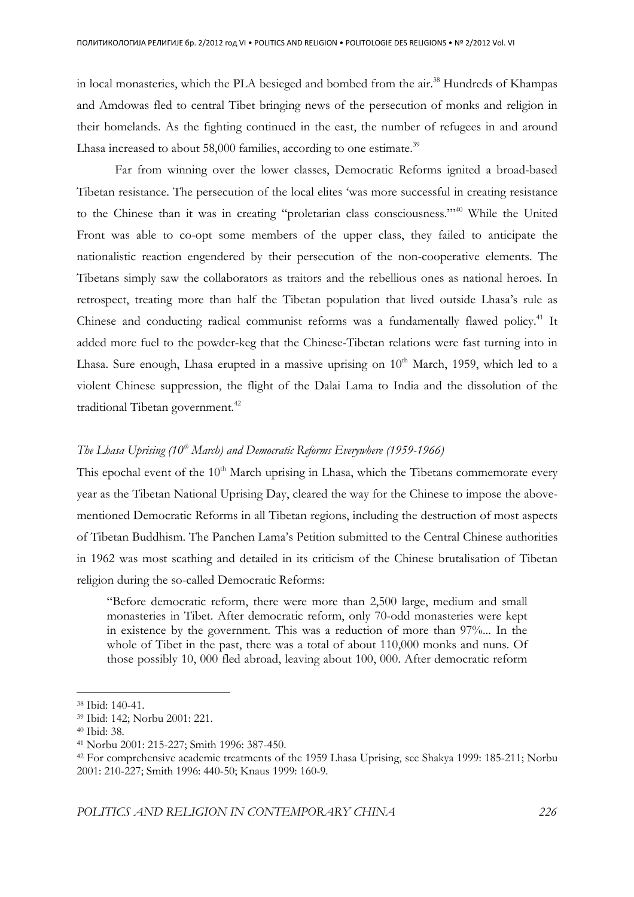in local monasteries, which the PLA besieged and bombed from the air.<sup>38</sup> Hundreds of Khampas and Amdowas fled to central Tibet bringing news of the persecution of monks and religion in their homelands. As the fighting continued in the east, the number of refugees in and around Lhasa increased to about 58,000 families, according to one estimate. $^{39}$ 

Far from winning over the lower classes, Democratic Reforms ignited a broad-based Tibetan resistance. The persecution of the local elites 'was more successful in creating resistance to the Chinese than it was in creating "proletarian class consciousness."'<sup>40</sup> While the United Front was able to co-opt some members of the upper class, they failed to anticipate the nationalistic reaction engendered by their persecution of the non-cooperative elements. The Tibetans simply saw the collaborators as traitors and the rebellious ones as national heroes. In retrospect, treating more than half the Tibetan population that lived outside Lhasa's rule as Chinese and conducting radical communist reforms was a fundamentally flawed policy.<sup>41</sup> It added more fuel to the powder-keg that the Chinese-Tibetan relations were fast turning into in Lhasa. Sure enough, Lhasa erupted in a massive uprising on  $10<sup>th</sup>$  March, 1959, which led to a violent Chinese suppression, the flight of the Dalai Lama to India and the dissolution of the traditional Tibetan government.<sup>42</sup>

## *The Lhasa Uprising (10th March) and Democratic Reforms Everywhere (1959-1966)*

This epochal event of the  $10<sup>th</sup>$  March uprising in Lhasa, which the Tibetans commemorate every year as the Tibetan National Uprising Day, cleared the way for the Chinese to impose the abovementioned Democratic Reforms in all Tibetan regions, including the destruction of most aspects of Tibetan Buddhism. The Panchen Lama's Petition submitted to the Central Chinese authorities in 1962 was most scathing and detailed in its criticism of the Chinese brutalisation of Tibetan religion during the so-called Democratic Reforms:

"Before democratic reform, there were more than 2,500 large, medium and small monasteries in Tibet. After democratic reform, only 70-odd monasteries were kept in existence by the government. This was a reduction of more than 97%... In the whole of Tibet in the past, there was a total of about 110,000 monks and nuns. Of those possibly 10, 000 fled abroad, leaving about 100, 000. After democratic reform

<sup>38</sup> Ibid: 140-41.

<sup>39</sup> Ibid: 142; Norbu 2001: 221.

<sup>40</sup> Ibid: 38.

<sup>41</sup> Norbu 2001: 215-227; Smith 1996: 387-450.

<sup>42</sup> For comprehensive academic treatments of the 1959 Lhasa Uprising, see Shakya 1999: 185-211; Norbu 2001: 210-227; Smith 1996: 440-50; Knaus 1999: 160-9.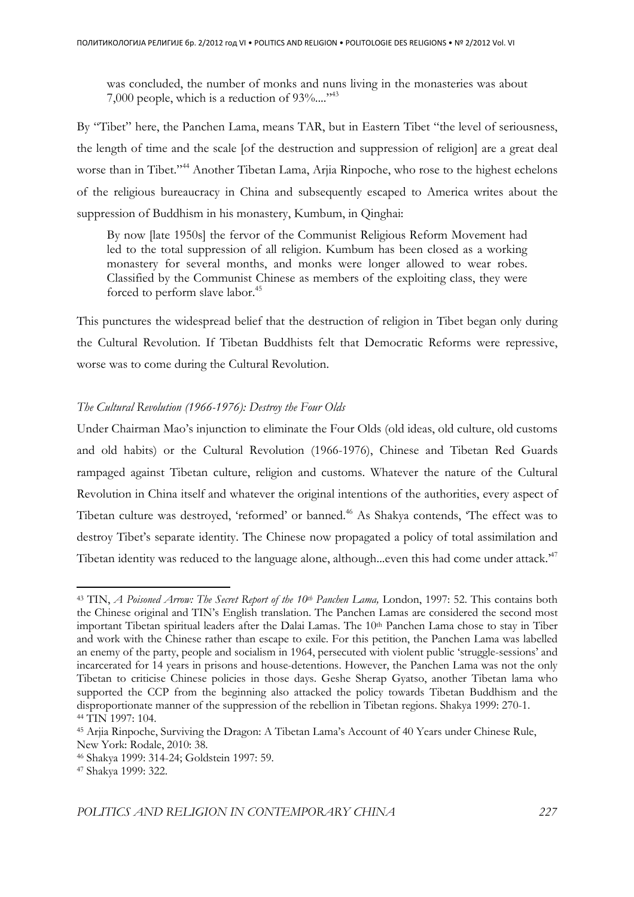was concluded, the number of monks and nuns living in the monasteries was about 7,000 people, which is a reduction of 93%...."<sup>43</sup>

By "Tibet" here, the Panchen Lama, means TAR, but in Eastern Tibet "the level of seriousness, the length of time and the scale [of the destruction and suppression of religion] are a great deal worse than in Tibet."<sup>44</sup> Another Tibetan Lama, Arjia Rinpoche, who rose to the highest echelons of the religious bureaucracy in China and subsequently escaped to America writes about the suppression of Buddhism in his monastery, Kumbum, in Qinghai:

By now [late 1950s] the fervor of the Communist Religious Reform Movement had led to the total suppression of all religion. Kumbum has been closed as a working monastery for several months, and monks were longer allowed to wear robes. Classified by the Communist Chinese as members of the exploiting class, they were forced to perform slave labor.<sup>45</sup>

This punctures the widespread belief that the destruction of religion in Tibet began only during the Cultural Revolution. If Tibetan Buddhists felt that Democratic Reforms were repressive, worse was to come during the Cultural Revolution.

## *The Cultural Revolution (1966-1976): Destroy the Four Olds*

Under Chairman Mao's injunction to eliminate the Four Olds (old ideas, old culture, old customs and old habits) or the Cultural Revolution (1966-1976), Chinese and Tibetan Red Guards rampaged against Tibetan culture, religion and customs. Whatever the nature of the Cultural Revolution in China itself and whatever the original intentions of the authorities, every aspect of Tibetan culture was destroyed, 'reformed' or banned.<sup>46</sup> As Shakya contends, 'The effect was to destroy Tibet's separate identity. The Chinese now propagated a policy of total assimilation and Tibetan identity was reduced to the language alone, although...even this had come under attack.<sup>47</sup>

<sup>43</sup> TIN, *A Poisoned Arrow: The Secret Report of the 10th Panchen Lama,* London, 1997: 52. This contains both the Chinese original and TIN's English translation. The Panchen Lamas are considered the second most important Tibetan spiritual leaders after the Dalai Lamas. The 10<sup>th</sup> Panchen Lama chose to stay in Tiber and work with the Chinese rather than escape to exile. For this petition, the Panchen Lama was labelled an enemy of the party, people and socialism in 1964, persecuted with violent public 'struggle-sessions' and incarcerated for 14 years in prisons and house-detentions. However, the Panchen Lama was not the only Tibetan to criticise Chinese policies in those days. Geshe Sherap Gyatso, another Tibetan lama who supported the CCP from the beginning also attacked the policy towards Tibetan Buddhism and the disproportionate manner of the suppression of the rebellion in Tibetan regions. Shakya 1999: 270-1. <sup>44</sup> TIN 1997: 104.

<sup>45</sup> Arjia Rinpoche, Surviving the Dragon: A Tibetan Lama's Account of 40 Years under Chinese Rule, New York: Rodale, 2010: 38.

<sup>46</sup> Shakya 1999: 314-24; Goldstein 1997: 59.

<sup>47</sup> Shakya 1999: 322.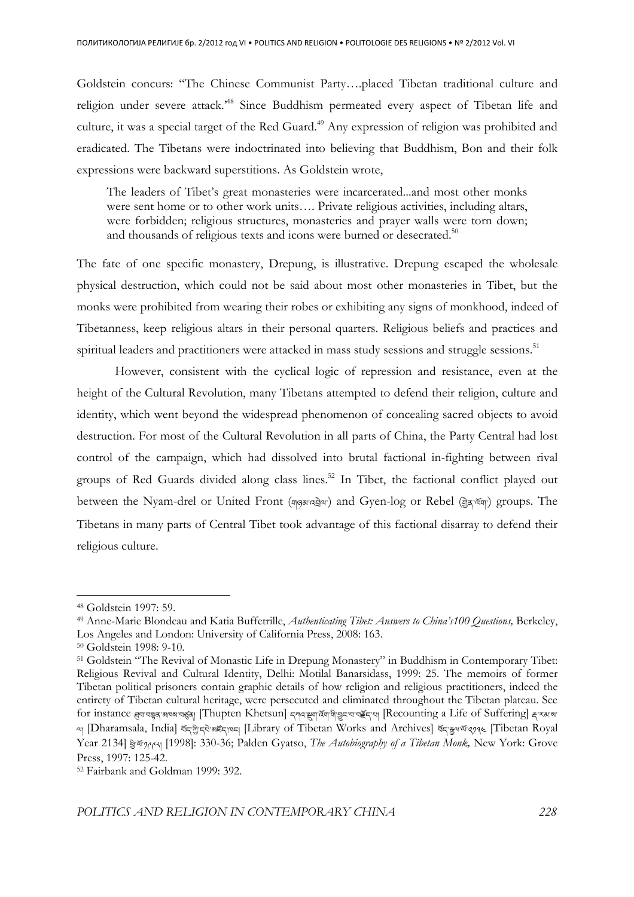Goldstein concurs: "The Chinese Communist Party….placed Tibetan traditional culture and religion under severe attack.'<sup>48</sup> Since Buddhism permeated every aspect of Tibetan life and culture, it was a special target of the Red Guard.<sup>49</sup> Any expression of religion was prohibited and eradicated. The Tibetans were indoctrinated into believing that Buddhism, Bon and their folk expressions were backward superstitions. As Goldstein wrote,

The leaders of Tibet's great monasteries were incarcerated...and most other monks were sent home or to other work units.... Private religious activities, including altars, were forbidden; religious structures, monasteries and prayer walls were torn down; and thousands of religious texts and icons were burned or desecrated.<sup>50</sup>

The fate of one specific monastery, Drepung, is illustrative. Drepung escaped the wholesale physical destruction, which could not be said about most other monasteries in Tibet, but the monks were prohibited from wearing their robes or exhibiting any signs of monkhood, indeed of Tibetanness, keep religious altars in their personal quarters. Religious beliefs and practices and spiritual leaders and practitioners were attacked in mass study sessions and struggle sessions.<sup>51</sup>

However, consistent with the cyclical logic of repression and resistance, even at the height of the Cultural Revolution, many Tibetans attempted to defend their religion, culture and identity, which went beyond the widespread phenomenon of concealing sacred objects to avoid destruction. For most of the Cultural Revolution in all parts of China, the Party Central had lost control of the campaign, which had dissolved into brutal factional in-fighting between rival groups of Red Guards divided along class lines.<sup>52</sup> In Tibet, the factional conflict played out between the Nyam-drel or United Front (ག<u>བམ་འབྲ</u>ེལ་) and Gyen-log or Rebel (ਗ੍ਰੇੜ ਖੱਯਾ) groups. The Tibetans in many parts of Central Tibet took advantage of this factional disarray to defend their religious culture.

<sup>48</sup> Goldstein 1997: 59.

<sup>49</sup> Anne-Marie Blondeau and Katia Buffetrille, *Authenticating Tibet: Answers to China's100 Questions,* Berkeley, Los Angeles and London: University of California Press, 2008: 163.

<sup>50</sup> Goldstein 1998: 9-10.

<sup>51</sup> Goldstein "The Revival of Monastic Life in Drepung Monastery" in Buddhism in Contemporary Tibet: Religious Revival and Cultural Identity, Delhi: Motilal Banarsidass, 1999: 25. The memoirs of former Tibetan political prisoners contain graphic details of how religion and religious practitioners, indeed the entirety of Tibetan cultural heritage, were persecuted and eliminated throughout the Tibetan plateau. See for instance ব্ৰুনবঙ্গুৰ্'ঝৰ্মন্মত্জ্ব<sub>]</sub> [Thupten Khetsun] নৃশ্ম:ঙ্খ্ৰাৰ্শ্বশ্বীভ্ভূনব্যইন্মা [Recounting a Life of Suffering] হ্ৰাস্কাৰণ إِسِمِ [Tibetan Royal] وَجِرْبِيَّة الْكَلَّةُ وَجَدَتُوا [Library of Tibetan Works and Archives] كَتْجَرْبِيْتُ السَّابَة (Tibetan Royal Year 2134]  $\frac{2134}{1998}$ : 330-36; Palden Gyatso, *The Autobiography of a Tibetan Monk*, New York: Grove Press, 1997: 125-42.

<sup>52</sup> Fairbank and Goldman 1999: 392.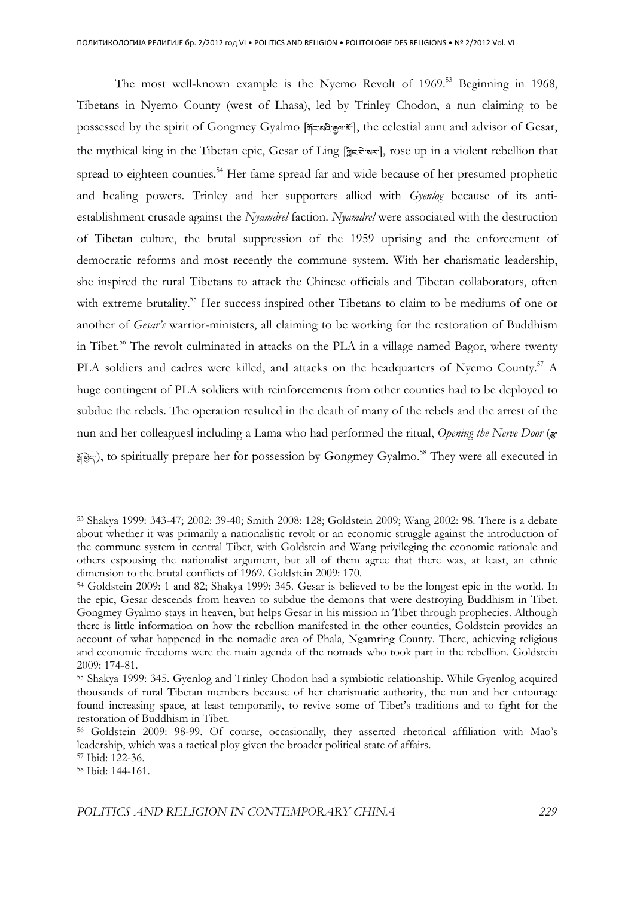The most well-known example is the Nyemo Revolt of  $1969$ .<sup>53</sup> Beginning in 1968, Tibetans in Nyemo County (west of Lhasa), led by Trinley Chodon, a nun claiming to be possessed by the spirit of Gongmey Gyalmo [अंदछादे: कुयर्जें: , the celestial aunt and advisor of Gesar, the mythical king in the Tibetan epic, Gesar of Ling [क्लिंड करन], rose up in a violent rebellion that spread to eighteen counties.<sup>54</sup> Her fame spread far and wide because of her presumed prophetic and healing powers. Trinley and her supporters allied with *Gyenlog* because of its antiestablishment crusade against the *Nyamdrel* faction. *Nyamdrel* were associated with the destruction of Tibetan culture, the brutal suppression of the 1959 uprising and the enforcement of democratic reforms and most recently the commune system. With her charismatic leadership, she inspired the rural Tibetans to attack the Chinese officials and Tibetan collaborators, often with extreme brutality.<sup>55</sup> Her success inspired other Tibetans to claim to be mediums of one or another of *Gesar's* warrior-ministers, all claiming to be working for the restoration of Buddhism in Tibet.<sup>56</sup> The revolt culminated in attacks on the PLA in a village named Bagor, where twenty PLA soldiers and cadres were killed, and attacks on the headquarters of Nyemo County.<sup>57</sup> A huge contingent of PLA soldiers with reinforcements from other counties had to be deployed to subdue the rebels. The operation resulted in the death of many of the rebels and the arrest of the nun and her colleaguesl including a Lama who had performed the ritual, *Opening the Nerve Door* ( $\overline{\mathbf{x}}$  $\frac{2}{N}$ हेंदिर), to spiritually prepare her for possession by Gongmey Gyalmo.<sup>58</sup> They were all executed in

<sup>53</sup> Shakya 1999: 343-47; 2002: 39-40; Smith 2008: 128; Goldstein 2009; Wang 2002: 98. There is a debate about whether it was primarily a nationalistic revolt or an economic struggle against the introduction of the commune system in central Tibet, with Goldstein and Wang privileging the economic rationale and others espousing the nationalist argument, but all of them agree that there was, at least, an ethnic dimension to the brutal conflicts of 1969. Goldstein 2009: 170.

<sup>54</sup> Goldstein 2009: 1 and 82; Shakya 1999: 345. Gesar is believed to be the longest epic in the world. In the epic, Gesar descends from heaven to subdue the demons that were destroying Buddhism in Tibet. Gongmey Gyalmo stays in heaven, but helps Gesar in his mission in Tibet through prophecies. Although there is little information on how the rebellion manifested in the other counties, Goldstein provides an account of what happened in the nomadic area of Phala, Ngamring County. There, achieving religious and economic freedoms were the main agenda of the nomads who took part in the rebellion. Goldstein 2009: 174-81.

<sup>55</sup> Shakya 1999: 345. Gyenlog and Trinley Chodon had a symbiotic relationship. While Gyenlog acquired thousands of rural Tibetan members because of her charismatic authority, the nun and her entourage found increasing space, at least temporarily, to revive some of Tibet's traditions and to fight for the restoration of Buddhism in Tibet.

<sup>56</sup> Goldstein 2009: 98-99. Of course, occasionally, they asserted rhetorical affiliation with Mao's leadership, which was a tactical ploy given the broader political state of affairs.

<sup>57</sup> Ibid: 122-36.

<sup>58</sup> Ibid: 144-161.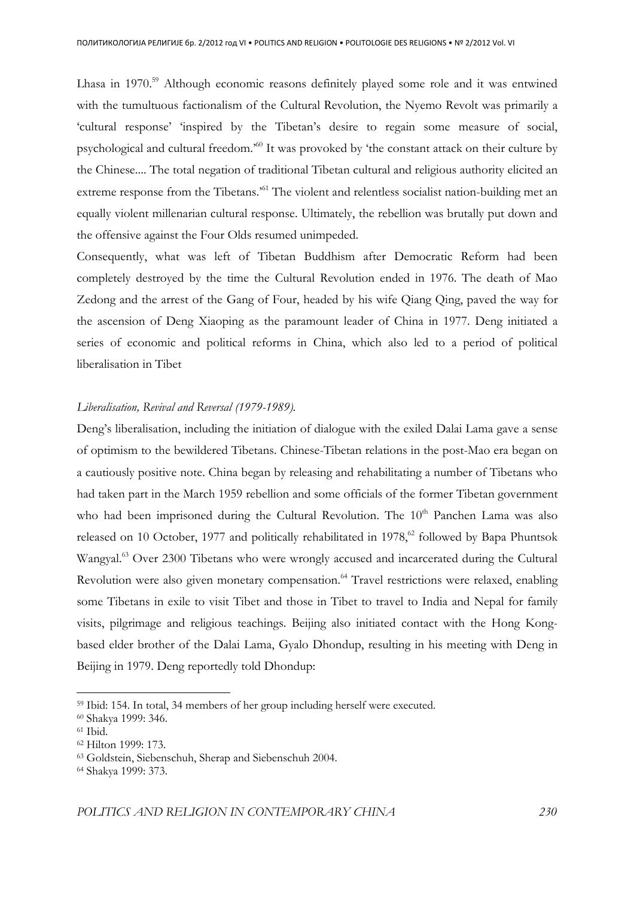Lhasa in 1970.<sup>59</sup> Although economic reasons definitely played some role and it was entwined with the tumultuous factionalism of the Cultural Revolution, the Nyemo Revolt was primarily a 'cultural response' 'inspired by the Tibetan's desire to regain some measure of social, psychological and cultural freedom.'<sup>60</sup> It was provoked by 'the constant attack on their culture by the Chinese.... The total negation of traditional Tibetan cultural and religious authority elicited an extreme response from the Tibetans.<sup>'61</sup> The violent and relentless socialist nation-building met an equally violent millenarian cultural response. Ultimately, the rebellion was brutally put down and the offensive against the Four Olds resumed unimpeded.

Consequently, what was left of Tibetan Buddhism after Democratic Reform had been completely destroyed by the time the Cultural Revolution ended in 1976. The death of Mao Zedong and the arrest of the Gang of Four, headed by his wife Qiang Qing, paved the way for the ascension of Deng Xiaoping as the paramount leader of China in 1977. Deng initiated a series of economic and political reforms in China, which also led to a period of political liberalisation in Tibet

## *Liberalisation, Revival and Reversal (1979-1989).*

Deng's liberalisation, including the initiation of dialogue with the exiled Dalai Lama gave a sense of optimism to the bewildered Tibetans. Chinese-Tibetan relations in the post-Mao era began on a cautiously positive note. China began by releasing and rehabilitating a number of Tibetans who had taken part in the March 1959 rebellion and some officials of the former Tibetan government who had been imprisoned during the Cultural Revolution. The 10<sup>th</sup> Panchen Lama was also released on 10 October, 1977 and politically rehabilitated in 1978, $62$  followed by Bapa Phuntsok Wangyal.<sup>63</sup> Over 2300 Tibetans who were wrongly accused and incarcerated during the Cultural Revolution were also given monetary compensation.<sup>64</sup> Travel restrictions were relaxed, enabling some Tibetans in exile to visit Tibet and those in Tibet to travel to India and Nepal for family visits, pilgrimage and religious teachings. Beijing also initiated contact with the Hong Kongbased elder brother of the Dalai Lama, Gyalo Dhondup, resulting in his meeting with Deng in Beijing in 1979. Deng reportedly told Dhondup:

<sup>59</sup> Ibid: 154. In total, 34 members of her group including herself were executed.

<sup>60</sup> Shakya 1999: 346.

<sup>61</sup> Ibid.

<sup>62</sup> Hilton 1999: 173.

<sup>63</sup> Goldstein, Siebenschuh, Sherap and Siebenschuh 2004.

<sup>64</sup> Shakya 1999: 373.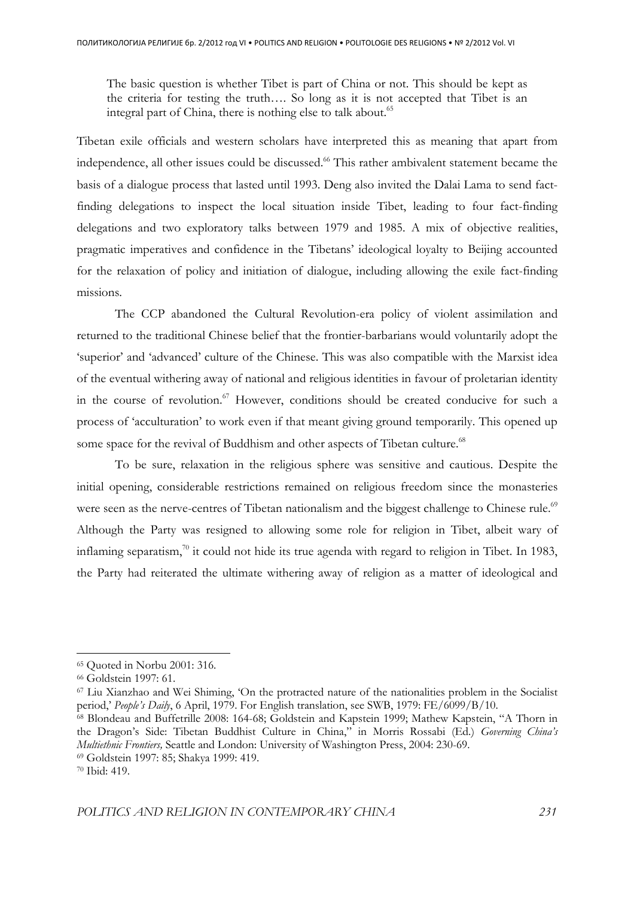The basic question is whether Tibet is part of China or not. This should be kept as the criteria for testing the truth…. So long as it is not accepted that Tibet is an integral part of China, there is nothing else to talk about.<sup>65</sup>

Tibetan exile officials and western scholars have interpreted this as meaning that apart from independence, all other issues could be discussed.<sup>66</sup> This rather ambivalent statement became the basis of a dialogue process that lasted until 1993. Deng also invited the Dalai Lama to send factfinding delegations to inspect the local situation inside Tibet, leading to four fact-finding delegations and two exploratory talks between 1979 and 1985. A mix of objective realities, pragmatic imperatives and confidence in the Tibetans' ideological loyalty to Beijing accounted for the relaxation of policy and initiation of dialogue, including allowing the exile fact-finding missions.

The CCP abandoned the Cultural Revolution-era policy of violent assimilation and returned to the traditional Chinese belief that the frontier-barbarians would voluntarily adopt the 'superior' and 'advanced' culture of the Chinese. This was also compatible with the Marxist idea of the eventual withering away of national and religious identities in favour of proletarian identity in the course of revolution.<sup>67</sup> However, conditions should be created conducive for such a process of 'acculturation' to work even if that meant giving ground temporarily. This opened up some space for the revival of Buddhism and other aspects of Tibetan culture.<sup>68</sup>

To be sure, relaxation in the religious sphere was sensitive and cautious. Despite the initial opening, considerable restrictions remained on religious freedom since the monasteries were seen as the nerve-centres of Tibetan nationalism and the biggest challenge to Chinese rule.<sup>69</sup> Although the Party was resigned to allowing some role for religion in Tibet, albeit wary of inflaming separatism, $\frac{70}{1}$  it could not hide its true agenda with regard to religion in Tibet. In 1983, the Party had reiterated the ultimate withering away of religion as a matter of ideological and

<sup>65</sup> Quoted in Norbu 2001: 316.

<sup>66</sup> Goldstein 1997: 61.

<sup>67</sup> Liu Xianzhao and Wei Shiming, 'On the protracted nature of the nationalities problem in the Socialist period,' *People's Daily*, 6 April, 1979. For English translation, see SWB, 1979: FE/6099/B/10.

<sup>68</sup> Blondeau and Buffetrille 2008: 164-68; Goldstein and Kapstein 1999; Mathew Kapstein, "A Thorn in the Dragon's Side: Tibetan Buddhist Culture in China," in Morris Rossabi (Ed.) *Governing China's Multiethnic Frontiers,* Seattle and London: University of Washington Press, 2004: 230-69.

<sup>69</sup> Goldstein 1997: 85; Shakya 1999: 419.

<sup>70</sup> Ibid: 419.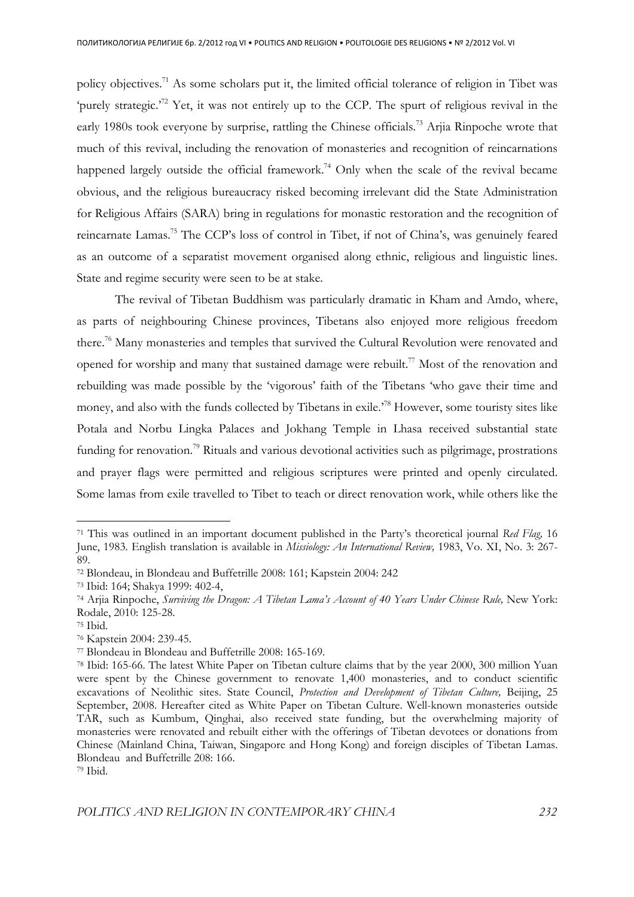policy objectives.<sup>71</sup> As some scholars put it, the limited official tolerance of religion in Tibet was 'purely strategic.<sup> $72$ </sup> Yet, it was not entirely up to the CCP. The spurt of religious revival in the early 1980s took everyone by surprise, rattling the Chinese officials.<sup>73</sup> Arjia Rinpoche wrote that much of this revival, including the renovation of monasteries and recognition of reincarnations happened largely outside the official framework.<sup>74</sup> Only when the scale of the revival became obvious, and the religious bureaucracy risked becoming irrelevant did the State Administration for Religious Affairs (SARA) bring in regulations for monastic restoration and the recognition of reincarnate Lamas.<sup>75</sup> The CCP's loss of control in Tibet, if not of China's, was genuinely feared as an outcome of a separatist movement organised along ethnic, religious and linguistic lines. State and regime security were seen to be at stake.

The revival of Tibetan Buddhism was particularly dramatic in Kham and Amdo, where, as parts of neighbouring Chinese provinces, Tibetans also enjoyed more religious freedom there.<sup>76</sup> Many monasteries and temples that survived the Cultural Revolution were renovated and opened for worship and many that sustained damage were rebuilt.<sup>77</sup> Most of the renovation and rebuilding was made possible by the 'vigorous' faith of the Tibetans 'who gave their time and money, and also with the funds collected by Tibetans in exile.'<sup>78</sup> However, some touristy sites like Potala and Norbu Lingka Palaces and Jokhang Temple in Lhasa received substantial state funding for renovation.<sup>79</sup> Rituals and various devotional activities such as pilgrimage, prostrations and prayer flags were permitted and religious scriptures were printed and openly circulated. Some lamas from exile travelled to Tibet to teach or direct renovation work, while others like the

<sup>71</sup> This was outlined in an important document published in the Party's theoretical journal *Red Flag,* 16 June, 1983. English translation is available in *Missiology: An International Review,* 1983, Vo. XI, No. 3: 267- 89.

<sup>72</sup> Blondeau, in Blondeau and Buffetrille 2008: 161; Kapstein 2004: 242

<sup>73</sup> Ibid: 164; Shakya 1999: 402-4,

<sup>74</sup> Arjia Rinpoche, *Surviving the Dragon: A Tibetan Lama's Account of 40 Years Under Chinese Rule,* New York: Rodale, 2010: 125-28.

<sup>75</sup> Ibid.

<sup>76</sup> Kapstein 2004: 239-45.

<sup>77</sup> Blondeau in Blondeau and Buffetrille 2008: 165-169.

<sup>78</sup> Ibid: 165-66. The latest White Paper on Tibetan culture claims that by the year 2000, 300 million Yuan were spent by the Chinese government to renovate 1,400 monasteries, and to conduct scientific excavations of Neolithic sites. State Council, *Protection and Development of Tibetan Culture,* Beijing, 25 September, 2008. Hereafter cited as White Paper on Tibetan Culture. Well-known monasteries outside TAR, such as Kumbum, Qinghai, also received state funding, but the overwhelming majority of monasteries were renovated and rebuilt either with the offerings of Tibetan devotees or donations from Chinese (Mainland China, Taiwan, Singapore and Hong Kong) and foreign disciples of Tibetan Lamas. Blondeau and Buffetrille 208: 166.

<sup>79</sup> Ibid.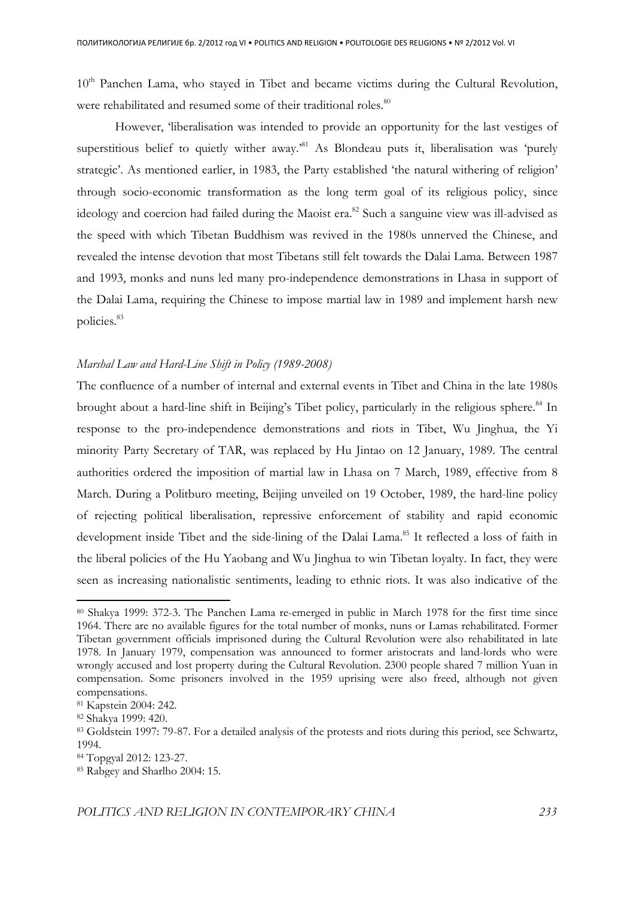10<sup>th</sup> Panchen Lama, who stayed in Tibet and became victims during the Cultural Revolution, were rehabilitated and resumed some of their traditional roles.<sup>80</sup>

 However, 'liberalisation was intended to provide an opportunity for the last vestiges of superstitious belief to quietly wither away.<sup>81</sup> As Blondeau puts it, liberalisation was 'purely strategic'. As mentioned earlier, in 1983, the Party established 'the natural withering of religion' through socio-economic transformation as the long term goal of its religious policy, since ideology and coercion had failed during the Maoist era.<sup>82</sup> Such a sanguine view was ill-advised as the speed with which Tibetan Buddhism was revived in the 1980s unnerved the Chinese, and revealed the intense devotion that most Tibetans still felt towards the Dalai Lama. Between 1987 and 1993, monks and nuns led many pro-independence demonstrations in Lhasa in support of the Dalai Lama, requiring the Chinese to impose martial law in 1989 and implement harsh new policies.<sup>83</sup>

## *Marshal Law and Hard-Line Shift in Policy (1989-2008)*

The confluence of a number of internal and external events in Tibet and China in the late 1980s brought about a hard-line shift in Beijing's Tibet policy, particularly in the religious sphere.<sup>84</sup> In response to the pro-independence demonstrations and riots in Tibet, Wu Jinghua, the Yi minority Party Secretary of TAR, was replaced by Hu Jintao on 12 January, 1989. The central authorities ordered the imposition of martial law in Lhasa on 7 March, 1989, effective from 8 March. During a Politburo meeting, Beijing unveiled on 19 October, 1989, the hard-line policy of rejecting political liberalisation, repressive enforcement of stability and rapid economic development inside Tibet and the side-lining of the Dalai Lama.<sup>85</sup> It reflected a loss of faith in the liberal policies of the Hu Yaobang and Wu Jinghua to win Tibetan loyalty. In fact, they were seen as increasing nationalistic sentiments, leading to ethnic riots. It was also indicative of the

<sup>80</sup> Shakya 1999: 372-3. The Panchen Lama re-emerged in public in March 1978 for the first time since 1964. There are no available figures for the total number of monks, nuns or Lamas rehabilitated. Former Tibetan government officials imprisoned during the Cultural Revolution were also rehabilitated in late 1978. In January 1979, compensation was announced to former aristocrats and land-lords who were wrongly accused and lost property during the Cultural Revolution. 2300 people shared 7 million Yuan in compensation. Some prisoners involved in the 1959 uprising were also freed, although not given compensations.

<sup>81</sup> Kapstein 2004: 242.

<sup>82</sup> Shakya 1999: 420.

<sup>83</sup> Goldstein 1997: 79-87. For a detailed analysis of the protests and riots during this period, see Schwartz, 1994.

<sup>84</sup> Topgyal 2012: 123-27.

<sup>85</sup> Rabgey and Sharlho 2004: 15.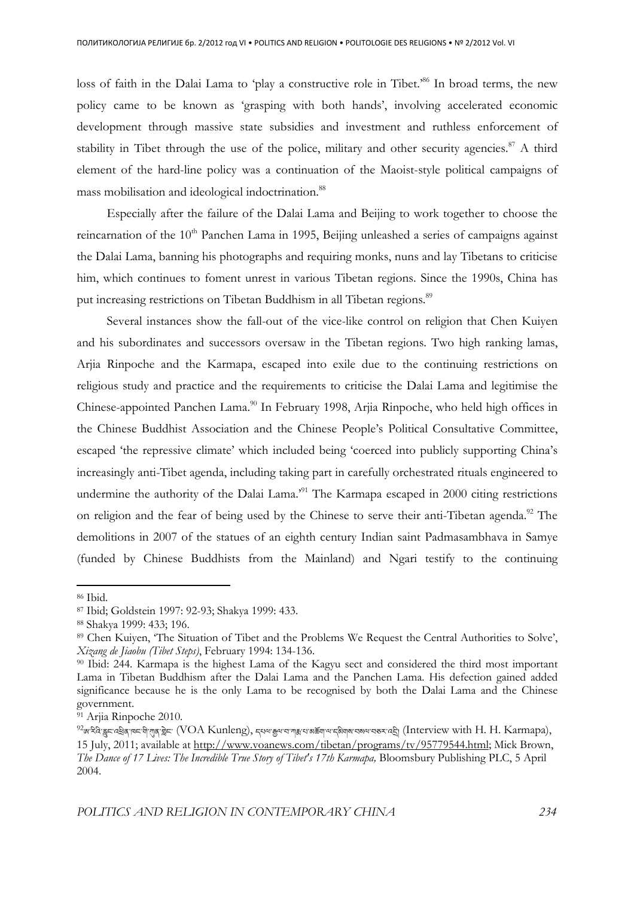loss of faith in the Dalai Lama to 'play a constructive role in Tibet.<sup>86</sup> In broad terms, the new policy came to be known as 'grasping with both hands', involving accelerated economic development through massive state subsidies and investment and ruthless enforcement of stability in Tibet through the use of the police, military and other security agencies.<sup>87</sup> A third element of the hard-line policy was a continuation of the Maoist-style political campaigns of mass mobilisation and ideological indoctrination.<sup>88</sup>

Especially after the failure of the Dalai Lama and Beijing to work together to choose the reincarnation of the  $10<sup>th</sup>$  Panchen Lama in 1995, Beijing unleashed a series of campaigns against the Dalai Lama, banning his photographs and requiring monks, nuns and lay Tibetans to criticise him, which continues to foment unrest in various Tibetan regions. Since the 1990s, China has put increasing restrictions on Tibetan Buddhism in all Tibetan regions.<sup>89</sup>

Several instances show the fall-out of the vice-like control on religion that Chen Kuiyen and his subordinates and successors oversaw in the Tibetan regions. Two high ranking lamas, Arjia Rinpoche and the Karmapa, escaped into exile due to the continuing restrictions on religious study and practice and the requirements to criticise the Dalai Lama and legitimise the Chinese-appointed Panchen Lama.<sup>90</sup> In February 1998, Arjia Rinpoche, who held high offices in the Chinese Buddhist Association and the Chinese People's Political Consultative Committee, escaped 'the repressive climate' which included being 'coerced into publicly supporting China's increasingly anti-Tibet agenda, including taking part in carefully orchestrated rituals engineered to undermine the authority of the Dalai Lama.<sup>51</sup> The Karmapa escaped in 2000 citing restrictions on religion and the fear of being used by the Chinese to serve their anti-Tibetan agenda.<sup>92</sup> The demolitions in 2007 of the statues of an eighth century Indian saint Padmasambhava in Samye (funded by Chinese Buddhists from the Mainland) and Ngari testify to the continuing

l

<sup>86</sup> Ibid.

<sup>87</sup> Ibid; Goldstein 1997: 92-93; Shakya 1999: 433.

<sup>88</sup> Shakya 1999: 433; 196.

<sup>89</sup> Chen Kuiyen, 'The Situation of Tibet and the Problems We Request the Central Authorities to Solve', *Xizang de Jiaobu (Tibet Steps)*, February 1994: 134-136.

<sup>90</sup> Ibid: 244. Karmapa is the highest Lama of the Kagyu sect and considered the third most important Lama in Tibetan Buddhism after the Dalai Lama and the Panchen Lama. His defection gained added significance because he is the only Lama to be recognised by both the Dalai Lama and the Chinese government.

<sup>&</sup>lt;sup>91</sup> Arjia Rinpoche 2010.

 $^{92}$ ଊ'རིའེ་རྒྲང་འརྲིན་ལང་གི་ཀུན་རྐྲེང་ (VOA Kunleng), དཔལ་རྒྱལ་བ་ཀརུ་པ་ས་མོགལ་བསལ་བུནར་འརྲི། (Interview with H. H. Karmapa), 15 July, 2011; available at http://www.voanews.com/tibetan/programs/tv/95779544.html; Mick Brown, *The Dance of 17 Lives: The Incredible True Story of Tibet's 17th Karmapa,* Bloomsbury Publishing PLC, 5 April 2004.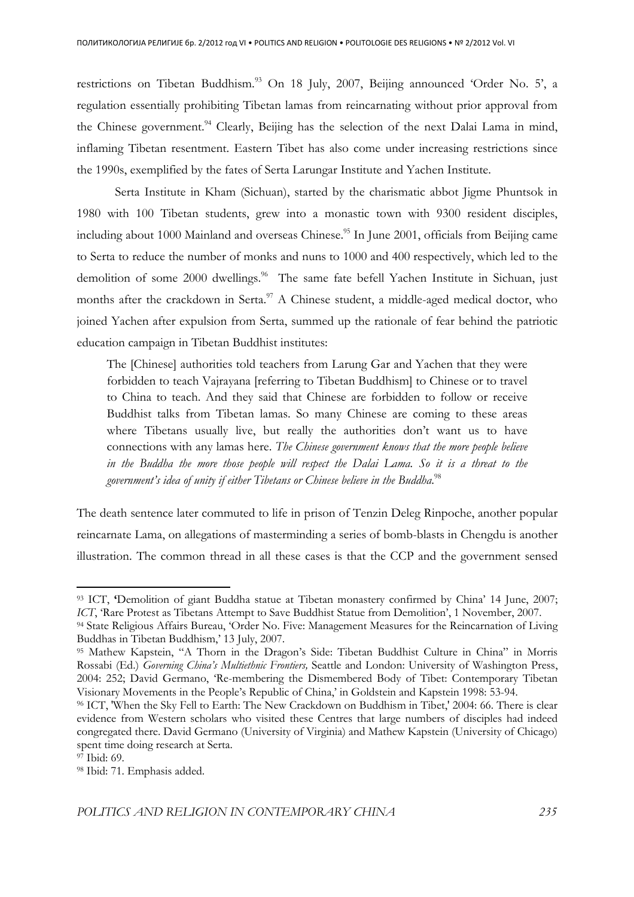restrictions on Tibetan Buddhism.<sup>93</sup> On 18 July, 2007, Beijing announced 'Order No. 5', a regulation essentially prohibiting Tibetan lamas from reincarnating without prior approval from the Chinese government.<sup>94</sup> Clearly, Beijing has the selection of the next Dalai Lama in mind, inflaming Tibetan resentment. Eastern Tibet has also come under increasing restrictions since the 1990s, exemplified by the fates of Serta Larungar Institute and Yachen Institute.

 Serta Institute in Kham (Sichuan), started by the charismatic abbot Jigme Phuntsok in 1980 with 100 Tibetan students, grew into a monastic town with 9300 resident disciples, including about 1000 Mainland and overseas Chinese.<sup>95</sup> In June 2001, officials from Beijing came to Serta to reduce the number of monks and nuns to 1000 and 400 respectively, which led to the demolition of some 2000 dwellings.<sup>96</sup> The same fate befell Yachen Institute in Sichuan, just months after the crackdown in Serta. $\frac{97}{2}$  A Chinese student, a middle-aged medical doctor, who joined Yachen after expulsion from Serta, summed up the rationale of fear behind the patriotic education campaign in Tibetan Buddhist institutes:

The [Chinese] authorities told teachers from Larung Gar and Yachen that they were forbidden to teach Vajrayana [referring to Tibetan Buddhism] to Chinese or to travel to China to teach. And they said that Chinese are forbidden to follow or receive Buddhist talks from Tibetan lamas. So many Chinese are coming to these areas where Tibetans usually live, but really the authorities don't want us to have connections with any lamas here. *The Chinese government knows that the more people believe in the Buddha the more those people will respect the Dalai Lama. So it is a threat to the government's idea of unity if either Tibetans or Chinese believe in the Buddha*. 98

The death sentence later commuted to life in prison of Tenzin Deleg Rinpoche, another popular reincarnate Lama, on allegations of masterminding a series of bomb-blasts in Chengdu is another illustration. The common thread in all these cases is that the CCP and the government sensed

<sup>&</sup>lt;sup>93</sup> ICT, **'Demolition** of giant Buddha statue at Tibetan monastery confirmed by China' 14 June, 2007; *ICT*, 'Rare Protest as Tibetans Attempt to Save Buddhist Statue from Demolition', 1 November, 2007.

<sup>94</sup> State Religious Affairs Bureau, 'Order No. Five: Management Measures for the Reincarnation of Living Buddhas in Tibetan Buddhism,' 13 July, 2007.

<sup>95</sup> Mathew Kapstein, "A Thorn in the Dragon's Side: Tibetan Buddhist Culture in China" in Morris Rossabi (Ed.) *Governing China's Multiethnic Frontiers,* Seattle and London: University of Washington Press, 2004: 252; David Germano, 'Re-membering the Dismembered Body of Tibet: Contemporary Tibetan Visionary Movements in the People's Republic of China,' in Goldstein and Kapstein 1998: 53-94.

<sup>96</sup> ICT, 'When the Sky Fell to Earth: The New Crackdown on Buddhism in Tibet,' 2004: 66. There is clear evidence from Western scholars who visited these Centres that large numbers of disciples had indeed congregated there. David Germano (University of Virginia) and Mathew Kapstein (University of Chicago) spent time doing research at Serta.

<sup>&</sup>lt;sup>97</sup> Ibid: 69.

<sup>98</sup> Ibid: 71. Emphasis added.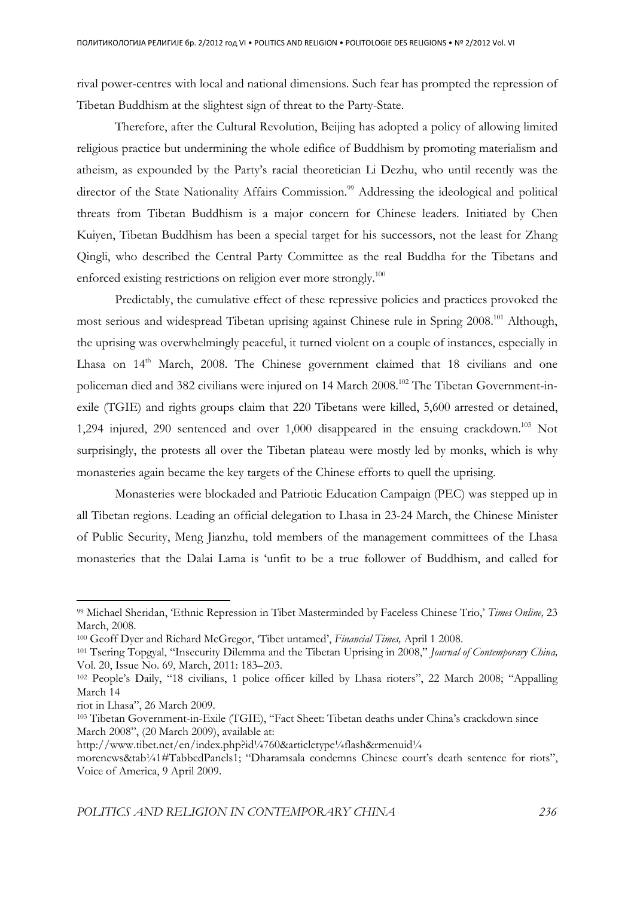rival power-centres with local and national dimensions. Such fear has prompted the repression of Tibetan Buddhism at the slightest sign of threat to the Party-State.

Therefore, after the Cultural Revolution, Beijing has adopted a policy of allowing limited religious practice but undermining the whole edifice of Buddhism by promoting materialism and atheism, as expounded by the Party's racial theoretician Li Dezhu, who until recently was the director of the State Nationality Affairs Commission.<sup>99</sup> Addressing the ideological and political threats from Tibetan Buddhism is a major concern for Chinese leaders. Initiated by Chen Kuiyen, Tibetan Buddhism has been a special target for his successors, not the least for Zhang Qingli, who described the Central Party Committee as the real Buddha for the Tibetans and enforced existing restrictions on religion ever more strongly.<sup>100</sup>

Predictably, the cumulative effect of these repressive policies and practices provoked the most serious and widespread Tibetan uprising against Chinese rule in Spring 2008.<sup>101</sup> Although, the uprising was overwhelmingly peaceful, it turned violent on a couple of instances, especially in Lhasa on 14<sup>th</sup> March, 2008. The Chinese government claimed that 18 civilians and one policeman died and 382 civilians were injured on 14 March 2008.<sup>102</sup> The Tibetan Government-inexile (TGIE) and rights groups claim that 220 Tibetans were killed, 5,600 arrested or detained, 1,294 injured, 290 sentenced and over  $1,000$  disappeared in the ensuing crackdown.<sup>103</sup> Not surprisingly, the protests all over the Tibetan plateau were mostly led by monks, which is why monasteries again became the key targets of the Chinese efforts to quell the uprising.

Monasteries were blockaded and Patriotic Education Campaign (PEC) was stepped up in all Tibetan regions. Leading an official delegation to Lhasa in 23-24 March, the Chinese Minister of Public Security, Meng Jianzhu, told members of the management committees of the Lhasa monasteries that the Dalai Lama is 'unfit to be a true follower of Buddhism, and called for

<sup>99</sup> Michael Sheridan, 'Ethnic Repression in Tibet Masterminded by Faceless Chinese Trio,' *Times Online,* 23 March, 2008.

<sup>100</sup> Geoff Dyer and Richard McGregor, 'Tibet untamed', *Financial Times,* April 1 2008.

<sup>101</sup> Tsering Topgyal, "Insecurity Dilemma and the Tibetan Uprising in 2008," *Journal of Contemporary China,*  Vol. 20, Issue No. 69, March, 2011: 183–203.

<sup>102</sup> People's Daily, "18 civilians, 1 police officer killed by Lhasa rioters", 22 March 2008; "Appalling March 14

riot in Lhasa", 26 March 2009.

<sup>103</sup> Tibetan Government-in-Exile (TGIE), "Fact Sheet: Tibetan deaths under China's crackdown since March 2008", (20 March 2009), available at:

http://www.tibet.net/en/index.php?id1/4760&articletype1/4flash&rmenuid1/4

morenews&tab<sup>1</sup>/41#TabbedPanels1; "Dharamsala condemns Chinese court's death sentence for riots", Voice of America, 9 April 2009.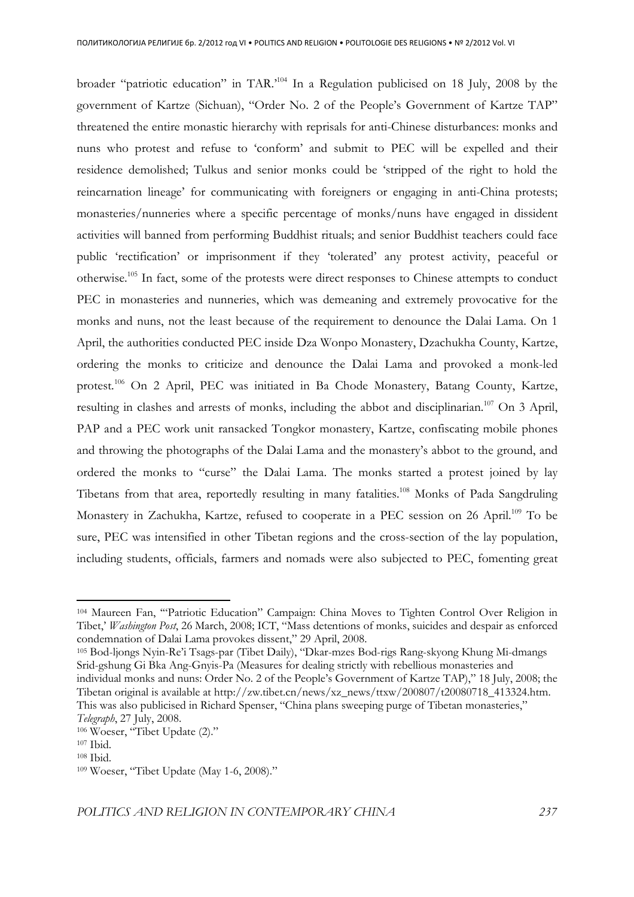broader "patriotic education" in TAR.'<sup>104</sup> In a Regulation publicised on 18 July, 2008 by the government of Kartze (Sichuan), "Order No. 2 of the People's Government of Kartze TAP" threatened the entire monastic hierarchy with reprisals for anti-Chinese disturbances: monks and nuns who protest and refuse to 'conform' and submit to PEC will be expelled and their residence demolished; Tulkus and senior monks could be 'stripped of the right to hold the reincarnation lineage' for communicating with foreigners or engaging in anti-China protests; monasteries/nunneries where a specific percentage of monks/nuns have engaged in dissident activities will banned from performing Buddhist rituals; and senior Buddhist teachers could face public 'rectification' or imprisonment if they 'tolerated' any protest activity, peaceful or otherwise.<sup>105</sup> In fact, some of the protests were direct responses to Chinese attempts to conduct PEC in monasteries and nunneries, which was demeaning and extremely provocative for the monks and nuns, not the least because of the requirement to denounce the Dalai Lama. On 1 April, the authorities conducted PEC inside Dza Wonpo Monastery, Dzachukha County, Kartze, ordering the monks to criticize and denounce the Dalai Lama and provoked a monk-led protest.<sup>106</sup> On 2 April, PEC was initiated in Ba Chode Monastery, Batang County, Kartze, resulting in clashes and arrests of monks, including the abbot and disciplinarian.<sup>107</sup> On 3 April, PAP and a PEC work unit ransacked Tongkor monastery, Kartze, confiscating mobile phones and throwing the photographs of the Dalai Lama and the monastery's abbot to the ground, and ordered the monks to "curse" the Dalai Lama. The monks started a protest joined by lay Tibetans from that area, reportedly resulting in many fatalities.<sup>108</sup> Monks of Pada Sangdruling Monastery in Zachukha, Kartze, refused to cooperate in a PEC session on 26 April.<sup>109</sup> To be sure, PEC was intensified in other Tibetan regions and the cross-section of the lay population, including students, officials, farmers and nomads were also subjected to PEC, fomenting great

<sup>104</sup> Maureen Fan, '"Patriotic Education" Campaign: China Moves to Tighten Control Over Religion in Tibet,' *Washington Post*, 26 March, 2008; ICT, "Mass detentions of monks, suicides and despair as enforced condemnation of Dalai Lama provokes dissent," 29 April, 2008.

<sup>105</sup> Bod-ljongs Nyin-Re'i Tsags-par (Tibet Daily), "Dkar-mzes Bod-rigs Rang-skyong Khung Mi-dmangs Srid-gshung Gi Bka Ang-Gnyis-Pa (Measures for dealing strictly with rebellious monasteries and individual monks and nuns: Order No. 2 of the People's Government of Kartze TAP)," 18 July, 2008; the Tibetan original is available at http://zw.tibet.cn/news/xz\_news/ttxw/200807/t20080718\_413324.htm. This was also publicised in Richard Spenser, "China plans sweeping purge of Tibetan monasteries,"

*Telegraph*, 27 July, 2008. 106 Woeser, "Tibet Update (2)."

<sup>107</sup> Ibid.

<sup>108</sup> Ibid.

<sup>109</sup> Woeser, "Tibet Update (May 1-6, 2008)."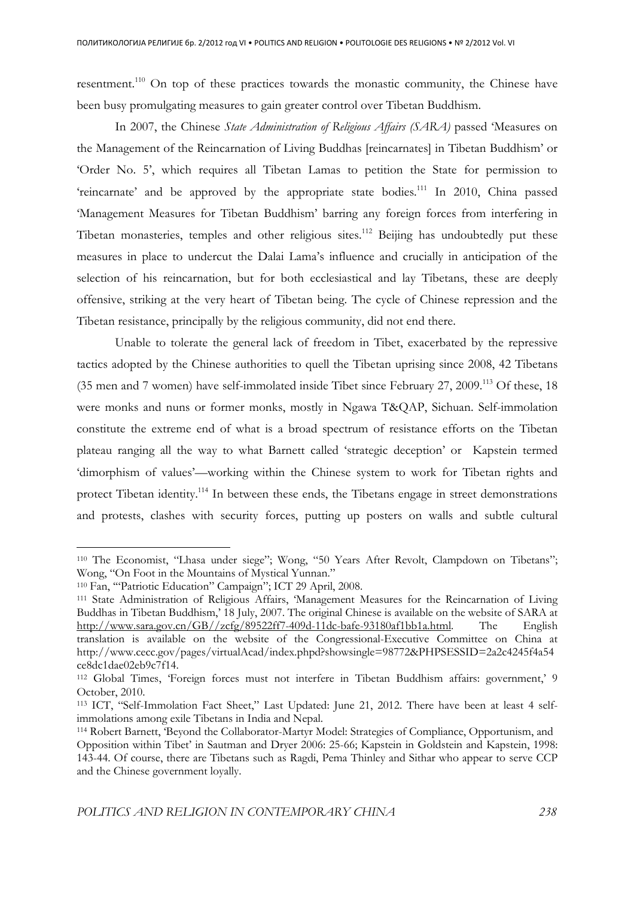resentment.<sup>110</sup> On top of these practices towards the monastic community, the Chinese have been busy promulgating measures to gain greater control over Tibetan Buddhism.

In 2007, the Chinese *State Administration of Religious Affairs (SARA)* passed 'Measures on the Management of the Reincarnation of Living Buddhas [reincarnates] in Tibetan Buddhism' or 'Order No. 5', which requires all Tibetan Lamas to petition the State for permission to 'reincarnate' and be approved by the appropriate state bodies.<sup>111</sup> In 2010, China passed 'Management Measures for Tibetan Buddhism' barring any foreign forces from interfering in Tibetan monasteries, temples and other religious sites.<sup>112</sup> Beijing has undoubtedly put these measures in place to undercut the Dalai Lama's influence and crucially in anticipation of the selection of his reincarnation, but for both ecclesiastical and lay Tibetans, these are deeply offensive, striking at the very heart of Tibetan being. The cycle of Chinese repression and the Tibetan resistance, principally by the religious community, did not end there.

 Unable to tolerate the general lack of freedom in Tibet, exacerbated by the repressive tactics adopted by the Chinese authorities to quell the Tibetan uprising since 2008, 42 Tibetans (35 men and 7 women) have self-immolated inside Tibet since February 27, 2009.<sup>113</sup> Of these, 18 were monks and nuns or former monks, mostly in Ngawa T&QAP, Sichuan. Self-immolation constitute the extreme end of what is a broad spectrum of resistance efforts on the Tibetan plateau ranging all the way to what Barnett called 'strategic deception' or Kapstein termed 'dimorphism of values'—working within the Chinese system to work for Tibetan rights and protect Tibetan identity.<sup>114</sup> In between these ends, the Tibetans engage in street demonstrations and protests, clashes with security forces, putting up posters on walls and subtle cultural

<sup>110</sup> The Economist, "Lhasa under siege"; Wong, "50 Years After Revolt, Clampdown on Tibetans"; Wong, "On Foot in the Mountains of Mystical Yunnan."

<sup>110</sup> Fan, '"Patriotic Education" Campaign"; ICT 29 April, 2008.

<sup>111</sup> State Administration of Religious Affairs, 'Management Measures for the Reincarnation of Living Buddhas in Tibetan Buddhism,' 18 July, 2007. The original Chinese is available on the website of SARA at http://www.sara.gov.cn/GB//zcfg/89522ff7-409d-11dc-bafe-93180af1bb1a.html. The English translation is available on the website of the Congressional-Executive Committee on China at http://www.cecc.gov/pages/virtualAcad/index.phpd?showsingle=98772&PHPSESSID=2a2c4245f4a54 ce8dc1dae02eb9c7f14.

<sup>112</sup> Global Times, 'Foreign forces must not interfere in Tibetan Buddhism affairs: government,' 9 October, 2010.

<sup>113</sup> ICT, "Self-Immolation Fact Sheet," Last Updated: June 21, 2012. There have been at least 4 selfimmolations among exile Tibetans in India and Nepal.

<sup>114</sup> Robert Barnett, 'Beyond the Collaborator-Martyr Model: Strategies of Compliance, Opportunism, and Opposition within Tibet' in Sautman and Dryer 2006: 25-66; Kapstein in Goldstein and Kapstein, 1998: 143-44. Of course, there are Tibetans such as Ragdi, Pema Thinley and Sithar who appear to serve CCP and the Chinese government loyally.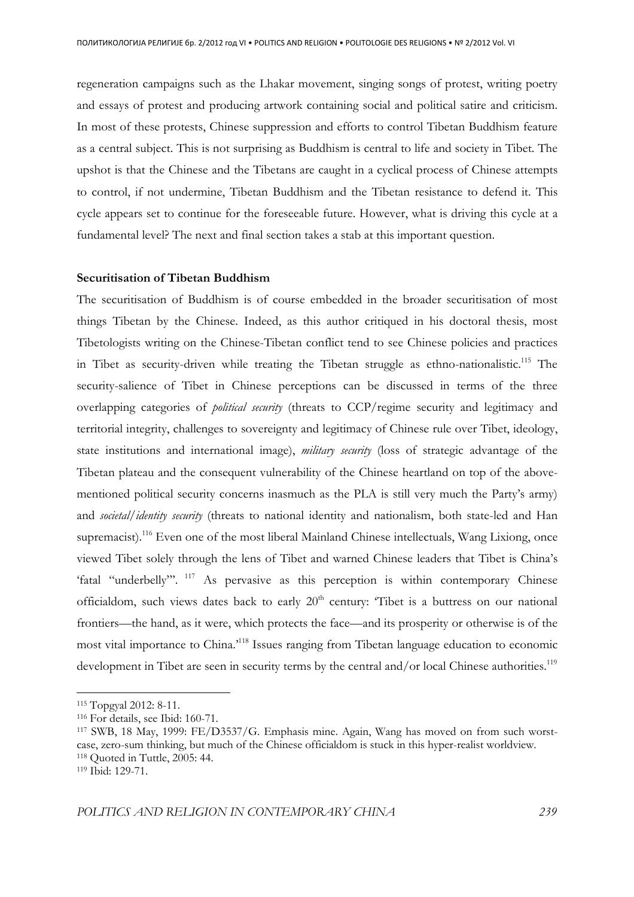regeneration campaigns such as the Lhakar movement, singing songs of protest, writing poetry and essays of protest and producing artwork containing social and political satire and criticism. In most of these protests, Chinese suppression and efforts to control Tibetan Buddhism feature as a central subject. This is not surprising as Buddhism is central to life and society in Tibet. The upshot is that the Chinese and the Tibetans are caught in a cyclical process of Chinese attempts to control, if not undermine, Tibetan Buddhism and the Tibetan resistance to defend it. This cycle appears set to continue for the foreseeable future. However, what is driving this cycle at a fundamental level? The next and final section takes a stab at this important question.

## **Securitisation of Tibetan Buddhism**

The securitisation of Buddhism is of course embedded in the broader securitisation of most things Tibetan by the Chinese. Indeed, as this author critiqued in his doctoral thesis, most Tibetologists writing on the Chinese-Tibetan conflict tend to see Chinese policies and practices in Tibet as security-driven while treating the Tibetan struggle as ethno-nationalistic.<sup>115</sup> The security-salience of Tibet in Chinese perceptions can be discussed in terms of the three overlapping categories of *political security* (threats to CCP/regime security and legitimacy and territorial integrity, challenges to sovereignty and legitimacy of Chinese rule over Tibet, ideology, state institutions and international image), *military security* (loss of strategic advantage of the Tibetan plateau and the consequent vulnerability of the Chinese heartland on top of the abovementioned political security concerns inasmuch as the PLA is still very much the Party's army) and *societal/identity security* (threats to national identity and nationalism, both state-led and Han supremacist).<sup>116</sup> Even one of the most liberal Mainland Chinese intellectuals, Wang Lixiong, once viewed Tibet solely through the lens of Tibet and warned Chinese leaders that Tibet is China's 'fatal "underbelly".<sup>117</sup> As pervasive as this perception is within contemporary Chinese officialdom, such views dates back to early  $20<sup>th</sup>$  century: 'Tibet is a buttress on our national frontiers—the hand, as it were, which protects the face—and its prosperity or otherwise is of the most vital importance to China.'<sup>118</sup> Issues ranging from Tibetan language education to economic development in Tibet are seen in security terms by the central and/or local Chinese authorities.<sup>119</sup>

<sup>115</sup> Topgyal 2012: 8-11.

<sup>116</sup> For details, see Ibid: 160-71.

<sup>117</sup> SWB, 18 May, 1999: FE/D3537/G. Emphasis mine. Again, Wang has moved on from such worstcase, zero-sum thinking, but much of the Chinese officialdom is stuck in this hyper-realist worldview. <sup>118</sup> Quoted in Tuttle, 2005: 44.

<sup>119</sup> Ibid: 129-71.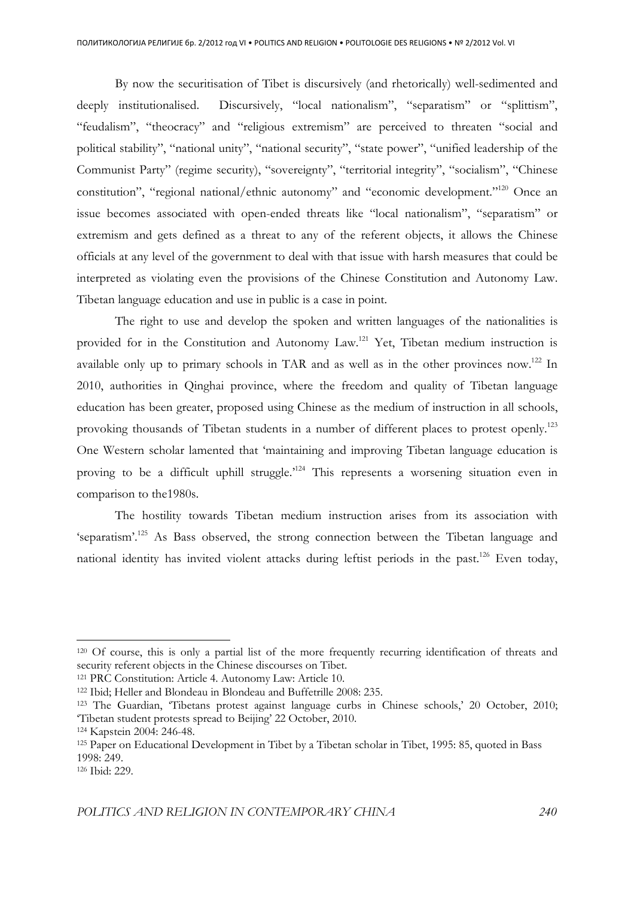By now the securitisation of Tibet is discursively (and rhetorically) well-sedimented and deeply institutionalised. Discursively, "local nationalism", "separatism" or "splittism", "feudalism", "theocracy" and "religious extremism" are perceived to threaten "social and political stability", "national unity", "national security", "state power", "unified leadership of the Communist Party" (regime security), "sovereignty", "territorial integrity", "socialism", "Chinese constitution", "regional national/ethnic autonomy" and "economic development."<sup>120</sup> Once an issue becomes associated with open-ended threats like "local nationalism", "separatism" or extremism and gets defined as a threat to any of the referent objects, it allows the Chinese officials at any level of the government to deal with that issue with harsh measures that could be interpreted as violating even the provisions of the Chinese Constitution and Autonomy Law. Tibetan language education and use in public is a case in point.

The right to use and develop the spoken and written languages of the nationalities is provided for in the Constitution and Autonomy Law.<sup>121</sup> Yet, Tibetan medium instruction is available only up to primary schools in TAR and as well as in the other provinces now.<sup>122</sup> In 2010, authorities in Qinghai province, where the freedom and quality of Tibetan language education has been greater, proposed using Chinese as the medium of instruction in all schools, provoking thousands of Tibetan students in a number of different places to protest openly.<sup>123</sup> One Western scholar lamented that 'maintaining and improving Tibetan language education is proving to be a difficult uphill struggle.<sup>124</sup> This represents a worsening situation even in comparison to the1980s.

The hostility towards Tibetan medium instruction arises from its association with 'separatism'.<sup>125</sup> As Bass observed, the strong connection between the Tibetan language and national identity has invited violent attacks during leftist periods in the past.<sup>126</sup> Even today,

<sup>120</sup> Of course, this is only a partial list of the more frequently recurring identification of threats and security referent objects in the Chinese discourses on Tibet.

<sup>121</sup> PRC Constitution: Article 4. Autonomy Law: Article 10.

<sup>122</sup> Ibid; Heller and Blondeau in Blondeau and Buffetrille 2008: 235.

<sup>123</sup> The Guardian, 'Tibetans protest against language curbs in Chinese schools,' 20 October, 2010; 'Tibetan student protests spread to Beijing' 22 October, 2010.

<sup>124</sup> Kapstein 2004: 246-48.

<sup>125</sup> Paper on Educational Development in Tibet by a Tibetan scholar in Tibet, 1995: 85, quoted in Bass 1998: 249.

<sup>126</sup> Ibid: 229.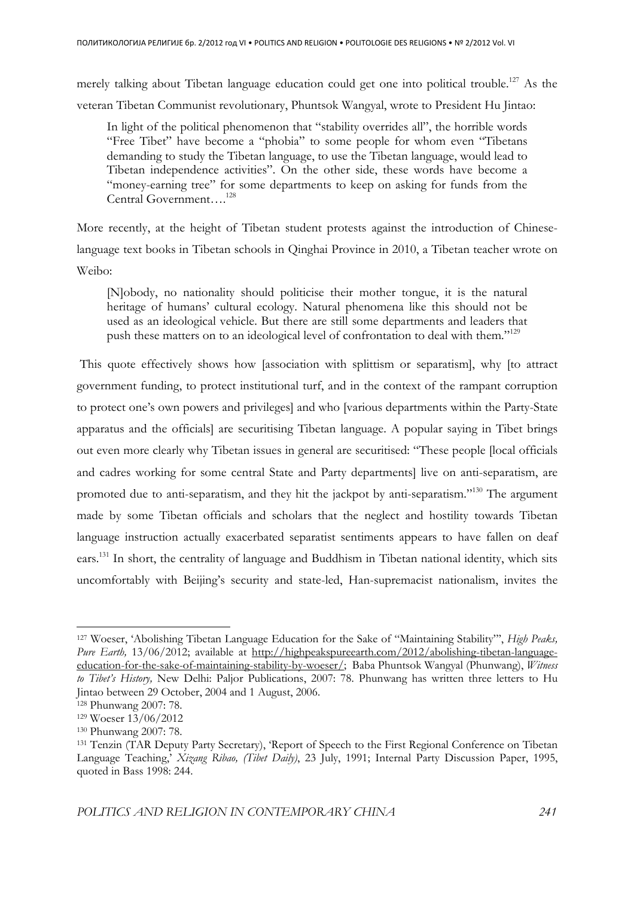merely talking about Tibetan language education could get one into political trouble.<sup>127</sup> As the veteran Tibetan Communist revolutionary, Phuntsok Wangyal, wrote to President Hu Jintao:

In light of the political phenomenon that "stability overrides all", the horrible words "Free Tibet" have become a "phobia" to some people for whom even "Tibetans demanding to study the Tibetan language, to use the Tibetan language, would lead to Tibetan independence activities". On the other side, these words have become a "money-earning tree" for some departments to keep on asking for funds from the Central Government….<sup>128</sup>

More recently, at the height of Tibetan student protests against the introduction of Chineselanguage text books in Tibetan schools in Qinghai Province in 2010, a Tibetan teacher wrote on Weibo:

[N]obody, no nationality should politicise their mother tongue, it is the natural heritage of humans' cultural ecology. Natural phenomena like this should not be used as an ideological vehicle. But there are still some departments and leaders that push these matters on to an ideological level of confrontation to deal with them."<sup>129</sup>

 This quote effectively shows how [association with splittism or separatism], why [to attract government funding, to protect institutional turf, and in the context of the rampant corruption to protect one's own powers and privileges] and who [various departments within the Party-State apparatus and the officials] are securitising Tibetan language. A popular saying in Tibet brings out even more clearly why Tibetan issues in general are securitised: "These people [local officials and cadres working for some central State and Party departments] live on anti-separatism, are promoted due to anti-separatism, and they hit the jackpot by anti-separatism."<sup>130</sup> The argument made by some Tibetan officials and scholars that the neglect and hostility towards Tibetan language instruction actually exacerbated separatist sentiments appears to have fallen on deaf ears.<sup>131</sup> In short, the centrality of language and Buddhism in Tibetan national identity, which sits uncomfortably with Beijing's security and state-led, Han-supremacist nationalism, invites the

<sup>127</sup> Woeser, 'Abolishing Tibetan Language Education for the Sake of "Maintaining Stability"', *High Peaks, Pure Earth,* 13/06/2012; available at http://highpeakspureearth.com/2012/abolishing-tibetan-languageeducation-for-the-sake-of-maintaining-stability-by-woeser/; Baba Phuntsok Wangyal (Phunwang), *Witness to Tibet's History,* New Delhi: Paljor Publications, 2007: 78. Phunwang has written three letters to Hu Jintao between 29 October, 2004 and 1 August, 2006.

<sup>128</sup> Phunwang 2007: 78.

<sup>129</sup> Woeser 13/06/2012

<sup>130</sup> Phunwang 2007: 78.

<sup>131</sup> Tenzin (TAR Deputy Party Secretary), 'Report of Speech to the First Regional Conference on Tibetan Language Teaching,' *Xizang Ribao, (Tibet Daily)*, 23 July, 1991; Internal Party Discussion Paper, 1995, quoted in Bass 1998: 244.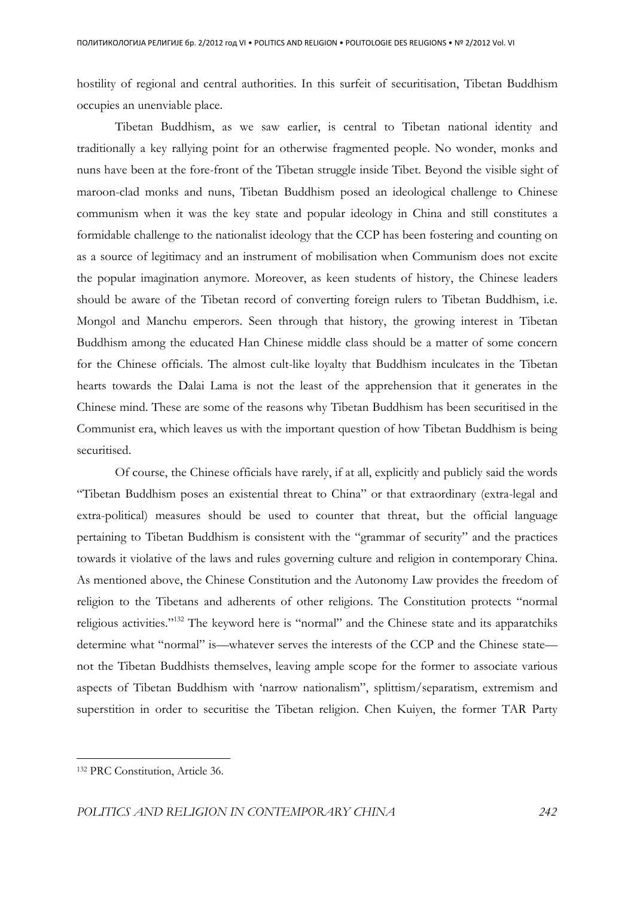hostility of regional and central authorities. In this surfeit of securitisation, Tibetan Buddhism occupies an unenviable place.

 Tibetan Buddhism, as we saw earlier, is central to Tibetan national identity and traditionally a key rallying point for an otherwise fragmented people. No wonder, monks and nuns have been at the fore-front of the Tibetan struggle inside Tibet. Beyond the visible sight of maroon-clad monks and nuns, Tibetan Buddhism posed an ideological challenge to Chinese communism when it was the key state and popular ideology in China and still constitutes a formidable challenge to the nationalist ideology that the CCP has been fostering and counting on as a source of legitimacy and an instrument of mobilisation when Communism does not excite the popular imagination anymore. Moreover, as keen students of history, the Chinese leaders should be aware of the Tibetan record of converting foreign rulers to Tibetan Buddhism, i.e. Mongol and Manchu emperors. Seen through that history, the growing interest in Tibetan Buddhism among the educated Han Chinese middle class should be a matter of some concern for the Chinese officials. The almost cult-like loyalty that Buddhism inculcates in the Tibetan hearts towards the Dalai Lama is not the least of the apprehension that it generates in the Chinese mind. These are some of the reasons why Tibetan Buddhism has been securitised in the Communist era, which leaves us with the important question of how Tibetan Buddhism is being securitised.

 Of course, the Chinese officials have rarely, if at all, explicitly and publicly said the words "Tibetan Buddhism poses an existential threat to China" or that extraordinary (extra-legal and extra-political) measures should be used to counter that threat, but the official language pertaining to Tibetan Buddhism is consistent with the "grammar of security" and the practices towards it violative of the laws and rules governing culture and religion in contemporary China. As mentioned above, the Chinese Constitution and the Autonomy Law provides the freedom of religion to the Tibetans and adherents of other religions. The Constitution protects "normal religious activities."<sup>132</sup> The keyword here is "normal" and the Chinese state and its apparatchiks determine what "normal" is—whatever serves the interests of the CCP and the Chinese state not the Tibetan Buddhists themselves, leaving ample scope for the former to associate various aspects of Tibetan Buddhism with 'narrow nationalism", splittism/separatism, extremism and superstition in order to securitise the Tibetan religion. Chen Kuiyen, the former TAR Party

<sup>132</sup> PRC Constitution, Article 36.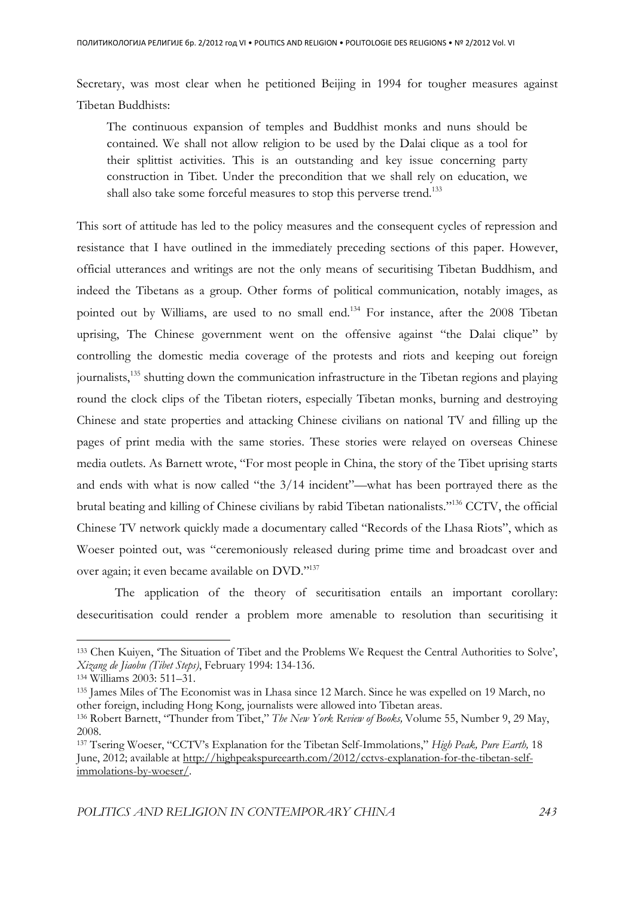Secretary, was most clear when he petitioned Beijing in 1994 for tougher measures against Tibetan Buddhists:

The continuous expansion of temples and Buddhist monks and nuns should be contained. We shall not allow religion to be used by the Dalai clique as a tool for their splittist activities. This is an outstanding and key issue concerning party construction in Tibet. Under the precondition that we shall rely on education, we shall also take some forceful measures to stop this perverse trend.<sup>133</sup>

This sort of attitude has led to the policy measures and the consequent cycles of repression and resistance that I have outlined in the immediately preceding sections of this paper. However, official utterances and writings are not the only means of securitising Tibetan Buddhism, and indeed the Tibetans as a group. Other forms of political communication, notably images, as pointed out by Williams, are used to no small end.<sup>134</sup> For instance, after the 2008 Tibetan uprising, The Chinese government went on the offensive against "the Dalai clique" by controlling the domestic media coverage of the protests and riots and keeping out foreign journalists,<sup>135</sup> shutting down the communication infrastructure in the Tibetan regions and playing round the clock clips of the Tibetan rioters, especially Tibetan monks, burning and destroying Chinese and state properties and attacking Chinese civilians on national TV and filling up the pages of print media with the same stories. These stories were relayed on overseas Chinese media outlets. As Barnett wrote, "For most people in China, the story of the Tibet uprising starts and ends with what is now called "the 3/14 incident"—what has been portrayed there as the brutal beating and killing of Chinese civilians by rabid Tibetan nationalists."<sup>136</sup> CCTV, the official Chinese TV network quickly made a documentary called "Records of the Lhasa Riots", which as Woeser pointed out, was "ceremoniously released during prime time and broadcast over and over again; it even became available on DVD."<sup>137</sup>

 The application of the theory of securitisation entails an important corollary: desecuritisation could render a problem more amenable to resolution than securitising it

<sup>133</sup> Chen Kuiyen, 'The Situation of Tibet and the Problems We Request the Central Authorities to Solve', *Xizang de Jiaobu (Tibet Steps)*, February 1994: 134-136.

<sup>134</sup> Williams 2003: 511–31.

<sup>135</sup> James Miles of The Economist was in Lhasa since 12 March. Since he was expelled on 19 March, no other foreign, including Hong Kong, journalists were allowed into Tibetan areas.

<sup>136</sup> Robert Barnett, "Thunder from Tibet," *The New York Review of Books,* Volume 55, Number 9, 29 May, 2008.

<sup>137</sup> Tsering Woeser, "CCTV's Explanation for the Tibetan Self-Immolations," *High Peak, Pure Earth,* 18 June, 2012; available at http://highpeakspureearth.com/2012/cctvs-explanation-for-the-tibetan-selfimmolations-by-woeser/.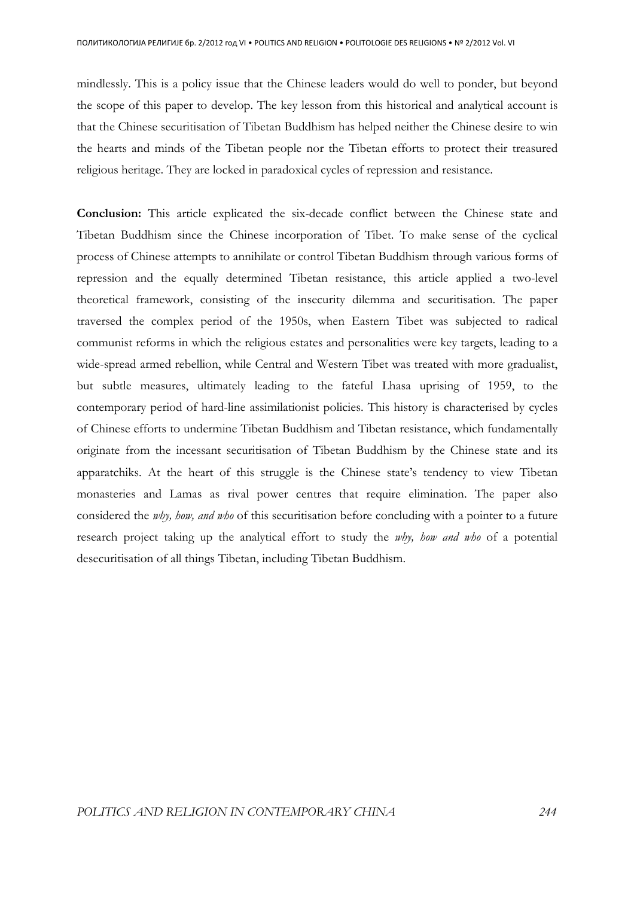mindlessly. This is a policy issue that the Chinese leaders would do well to ponder, but beyond the scope of this paper to develop. The key lesson from this historical and analytical account is that the Chinese securitisation of Tibetan Buddhism has helped neither the Chinese desire to win the hearts and minds of the Tibetan people nor the Tibetan efforts to protect their treasured religious heritage. They are locked in paradoxical cycles of repression and resistance.

**Conclusion:** This article explicated the six-decade conflict between the Chinese state and Tibetan Buddhism since the Chinese incorporation of Tibet. To make sense of the cyclical process of Chinese attempts to annihilate or control Tibetan Buddhism through various forms of repression and the equally determined Tibetan resistance, this article applied a two-level theoretical framework, consisting of the insecurity dilemma and securitisation. The paper traversed the complex period of the 1950s, when Eastern Tibet was subjected to radical communist reforms in which the religious estates and personalities were key targets, leading to a wide-spread armed rebellion, while Central and Western Tibet was treated with more gradualist, but subtle measures, ultimately leading to the fateful Lhasa uprising of 1959, to the contemporary period of hard-line assimilationist policies. This history is characterised by cycles of Chinese efforts to undermine Tibetan Buddhism and Tibetan resistance, which fundamentally originate from the incessant securitisation of Tibetan Buddhism by the Chinese state and its apparatchiks. At the heart of this struggle is the Chinese state's tendency to view Tibetan monasteries and Lamas as rival power centres that require elimination. The paper also considered the *why, how, and who* of this securitisation before concluding with a pointer to a future research project taking up the analytical effort to study the *why, how and who* of a potential desecuritisation of all things Tibetan, including Tibetan Buddhism.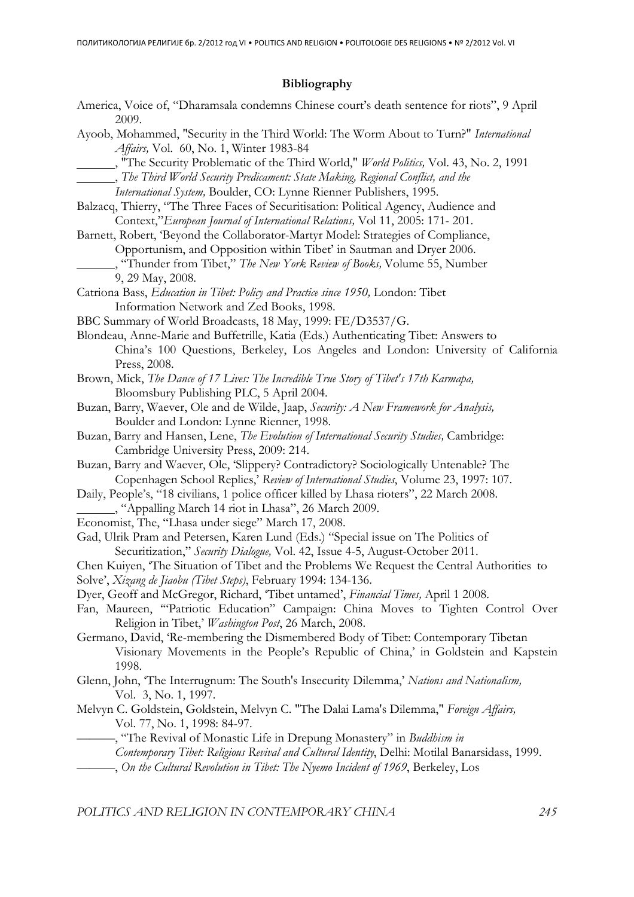## **Bibliography**

| America, Voice of, "Dharamsala condemns Chinese court's death sentence for riots", 9 April<br>2009. |
|-----------------------------------------------------------------------------------------------------|
| Ayoob, Mohammed, "Security in the Third World: The Worm About to Turn?" International               |
| Affairs, Vol. 60, No. 1, Winter 1983-84                                                             |
| "The Security Problematic of the Third World," World Politics, Vol. 43, No. 2, 1991                 |
| _______, The Third World Security Predicament: State Making, Regional Conflict, and the             |
| International System, Boulder, CO: Lynne Rienner Publishers, 1995.                                  |
| Balzacq, Thierry, "The Three Faces of Securitisation: Political Agency, Audience and                |
| Context," European Journal of International Relations, Vol 11, 2005: 171- 201.                      |
| Barnett, Robert, 'Beyond the Collaborator-Martyr Model: Strategies of Compliance,                   |
| Opportunism, and Opposition within Tibet' in Sautman and Dryer 2006.                                |
| ., "Thunder from Tibet," The New York Review of Books, Volume 55, Number                            |
| 9, 29 May, 2008.                                                                                    |
| Catriona Bass, Education in Tibet: Policy and Practice since 1950, London: Tibet                    |
| Information Network and Zed Books, 1998.                                                            |
| BBC Summary of World Broadcasts, 18 May, 1999: FE/D3537/G.                                          |
| Blondeau, Anne-Marie and Buffetrille, Katia (Eds.) Authenticating Tibet: Answers to                 |
| China's 100 Questions, Berkeley, Los Angeles and London: University of California                   |
| Press, 2008.                                                                                        |
| Brown, Mick, The Dance of 17 Lives: The Incredible True Story of Tibet's 17th Karmapa,              |
| Bloomsbury Publishing PLC, 5 April 2004.                                                            |
| Buzan, Barry, Waever, Ole and de Wilde, Jaap, Security: A New Framework for Analysis,               |
| Boulder and London: Lynne Rienner, 1998.                                                            |
| Buzan, Barry and Hansen, Lene, The Evolution of International Security Studies, Cambridge:          |
| Cambridge University Press, 2009: 214.                                                              |
| Buzan, Barry and Waever, Ole, 'Slippery? Contradictory? Sociologically Untenable? The               |
| Copenhagen School Replies,' Review of International Studies, Volume 23, 1997: 107.                  |
| Daily, People's, "18 civilians, 1 police officer killed by Lhasa rioters", 22 March 2008.           |
| " "Appalling March 14 riot in Lhasa", 26 March 2009.                                                |
| Economist, The, "Lhasa under siege" March 17, 2008.                                                 |
| Gad, Ulrik Pram and Petersen, Karen Lund (Eds.) "Special issue on The Politics of                   |
| Securitization," Security Dialogue, Vol. 42, Issue 4-5, August-October 2011.                        |
| Chen Kuiyen, 'The Situation of Tibet and the Problems We Request the Central Authorities to         |
| Solve', Xizang de Jiaobu (Tibet Steps), February 1994: 134-136.                                     |
| Dyer, Geoff and McGregor, Richard, 'Tibet untamed', Financial Times, April 1 2008.                  |
| Fan, Maureen, "Patriotic Education" Campaign: China Moves to Tighten Control Over                   |
| Religion in Tibet,' Washington Post, 26 March, 2008.                                                |
| Germano, David, 'Re-membering the Dismembered Body of Tibet: Contemporary Tibetan                   |
|                                                                                                     |
| Visionary Movements in the People's Republic of China,' in Goldstein and Kapstein<br>1998.          |
|                                                                                                     |
| Glenn, John, 'The Interrugnum: The South's Insecurity Dilemma,' Nations and Nationalism,            |
| Vol. 3, No. 1, 1997.                                                                                |
| Melvyn C. Goldstein, Goldstein, Melvyn C. "The Dalai Lama's Dilemma," Foreign Affairs,              |
| Vol. 77, No. 1, 1998: 84-97.                                                                        |
| -, "The Revival of Monastic Life in Drepung Monastery" in Buddhism in                               |
| Contemporary Tibet: Religious Revival and Cultural Identity, Delhi: Motilal Banarsidass, 1999.      |
| -, On the Cultural Revolution in Tibet: The Nyemo Incident of 1969, Berkeley, Los                   |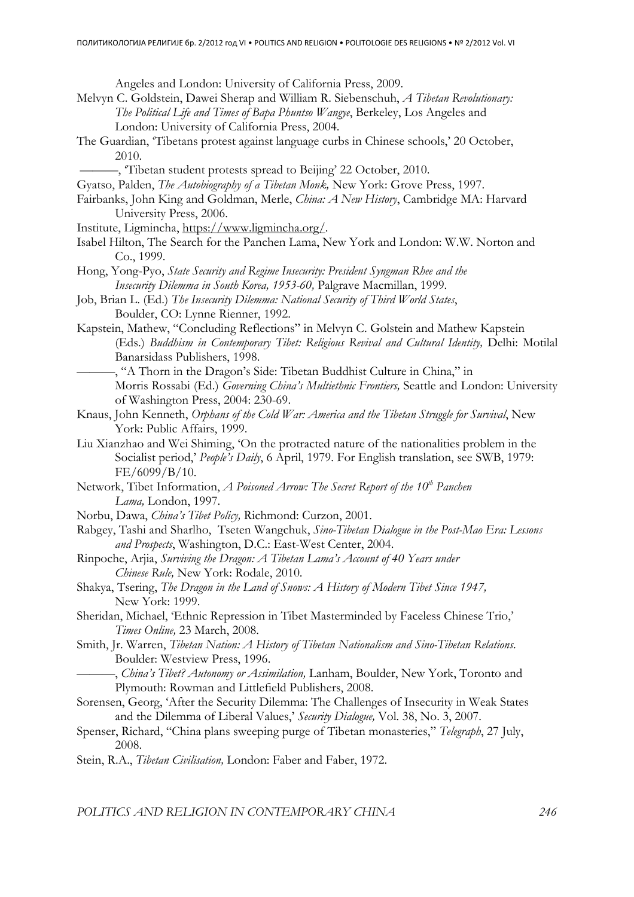Angeles and London: University of California Press, 2009.

- Melvyn C. Goldstein, Dawei Sherap and William R. Siebenschuh, *A Tibetan Revolutionary: The Political Life and Times of Bapa Phuntso Wangye*, Berkeley, Los Angeles and London: University of California Press, 2004.
- The Guardian, 'Tibetans protest against language curbs in Chinese schools,' 20 October, 2010.
	- ———, 'Tibetan student protests spread to Beijing' 22 October, 2010.
- Gyatso, Palden, *The Autobiography of a Tibetan Monk,* New York: Grove Press, 1997.
- Fairbanks, John King and Goldman, Merle, *China: A New History*, Cambridge MA: Harvard University Press, 2006.
- Institute, Ligmincha, https://www.ligmincha.org/.
- Isabel Hilton, The Search for the Panchen Lama, New York and London: W.W. Norton and Co., 1999.
- Hong, Yong-Pyo, *State Security and Regime Insecurity: President Syngman Rhee and the Insecurity Dilemma in South Korea, 1953-60,* Palgrave Macmillan, 1999.
- Job, Brian L. (Ed.) *The Insecurity Dilemma: National Security of Third World States*, Boulder, CO: Lynne Rienner, 1992.
- Kapstein, Mathew, "Concluding Reflections" in Melvyn C. Golstein and Mathew Kapstein (Eds.) *Buddhism in Contemporary Tibet: Religious Revival and Cultural Identity,* Delhi: Motilal Banarsidass Publishers, 1998.
- ———, "A Thorn in the Dragon's Side: Tibetan Buddhist Culture in China," in Morris Rossabi (Ed.) *Governing China's Multiethnic Frontiers,* Seattle and London: University of Washington Press, 2004: 230-69.
- Knaus, John Kenneth, *Orphans of the Cold War: America and the Tibetan Struggle for Survival*, New York: Public Affairs, 1999.
- Liu Xianzhao and Wei Shiming, 'On the protracted nature of the nationalities problem in the Socialist period,' *People's Daily*, 6 April, 1979. For English translation, see SWB, 1979: FE/6099/B/10.
- Network, Tibet Information, *A Poisoned Arrow: The Secret Report of the 10th Panchen Lama,* London, 1997.
- Norbu, Dawa, *China's Tibet Policy,* Richmond: Curzon, 2001.
- Rabgey, Tashi and Sharlho, Tseten Wangchuk, *Sino-Tibetan Dialogue in the Post-Mao Era: Lessons and Prospects*, Washington, D.C.: East-West Center, 2004.
- Rinpoche, Arjia, *Surviving the Dragon: A Tibetan Lama's Account of 40 Years under Chinese Rule,* New York: Rodale, 2010.
- Shakya, Tsering, *The Dragon in the Land of Snows: A History of Modern Tibet Since 1947,*  New York: 1999.
- Sheridan, Michael, 'Ethnic Repression in Tibet Masterminded by Faceless Chinese Trio,' *Times Online,* 23 March, 2008.
- Smith, Jr. Warren, *Tibetan Nation: A History of Tibetan Nationalism and Sino-Tibetan Relations*. Boulder: Westview Press, 1996.
- ———, *China's Tibet? Autonomy or Assimilation,* Lanham, Boulder, New York, Toronto and Plymouth: Rowman and Littlefield Publishers, 2008.
- Sorensen, Georg, 'After the Security Dilemma: The Challenges of Insecurity in Weak States and the Dilemma of Liberal Values,' *Security Dialogue,* Vol. 38, No. 3, 2007.
- Spenser, Richard, "China plans sweeping purge of Tibetan monasteries," *Telegraph*, 27 July, 2008.
- Stein, R.A., *Tibetan Civilisation,* London: Faber and Faber, 1972.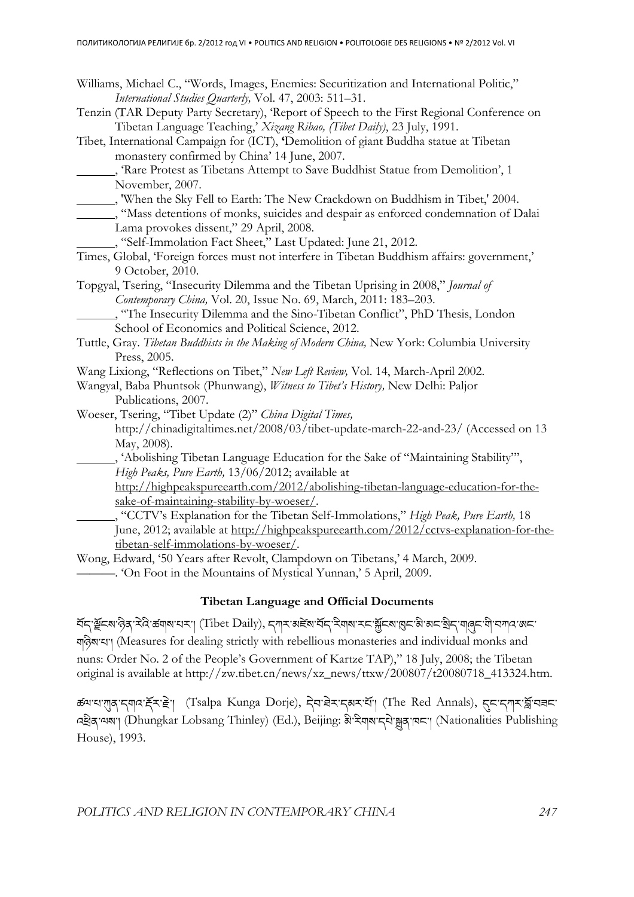| Williams, Michael C., "Words, Images, Enemies: Securitization and International Politic," |  |
|-------------------------------------------------------------------------------------------|--|
| International Studies Quarterly, Vol. 47, 2003: 511–31.                                   |  |

- Tenzin (TAR Deputy Party Secretary), 'Report of Speech to the First Regional Conference on Tibetan Language Teaching,' *Xizang Ribao, (Tibet Daily)*, 23 July, 1991.
- Tibet, International Campaign for (ICT), **'**Demolition of giant Buddha statue at Tibetan monastery confirmed by China' 14 June, 2007.

- , 'When the Sky Fell to Earth: The New Crackdown on Buddhism in Tibet,' 2004.
- , "Mass detentions of monks, suicides and despair as enforced condemnation of Dalai Lama provokes dissent," 29 April, 2008.
- , "Self-Immolation Fact Sheet," Last Updated: June 21, 2012.
- Times, Global, 'Foreign forces must not interfere in Tibetan Buddhism affairs: government,' 9 October, 2010.
- Topgyal, Tsering, "Insecurity Dilemma and the Tibetan Uprising in 2008," *Journal of Contemporary China,* Vol. 20, Issue No. 69, March, 2011: 183–203.

 , "The Insecurity Dilemma and the Sino-Tibetan Conflict", PhD Thesis, London School of Economics and Political Science, 2012.

- Tuttle, Gray. *Tibetan Buddhists in the Making of Modern China,* New York: Columbia University Press, 2005.
- Wang Lixiong, "Reflections on Tibet," *New Left Review,* Vol. 14, March-April 2002.
- Wangyal, Baba Phuntsok (Phunwang), *Witness to Tibet's History,* New Delhi: Paljor Publications, 2007.
- Woeser, Tsering, "Tibet Update (2)" *China Digital Times,*  http://chinadigitaltimes.net/2008/03/tibet-update-march-22-and-23/ (Accessed on 13 May, 2008).
	- , 'Abolishing Tibetan Language Education for the Sake of "Maintaining Stability"', *High Peaks, Pure Earth,* 13/06/2012; available at

http://highpeakspureearth.com/2012/abolishing-tibetan-language-education-for-thesake-of-maintaining-stability-by-woeser/.

 , "CCTV's Explanation for the Tibetan Self-Immolations," *High Peak, Pure Earth,* 18 June, 2012; available at http://highpeakspureearth.com/2012/cctvs-explanation-for-thetibetan-self-immolations-by-woeser/.

Wong, Edward, '50 Years after Revolt, Clampdown on Tibetans,' 4 March, 2009. ———. 'On Foot in the Mountains of Mystical Yunnan,' 5 April, 2009.

## **Tibetan Language and Official Documents**

كَتْمَ بِكَلَّةِ مِنْ الْكَلَّةِ الْكَتَابِيِّ (Tibet Daily), جِسِمَة مِنكَتْم بِكَتَابِيَّة الْكَتَابِيَّة بِ གཉིས་པ་། (Measures for dealing strictly with rebellious monasteries and individual monks and nuns: Order No. 2 of the People's Government of Kartze TAP)," 18 July, 2008; the Tibetan original is available at http://zw.tibet.cn/news/xz\_news/ttxw/200807/t20080718\_413324.htm.

ಹੱਘ'ਧ'गुब्'र्गणय'र्हेर'हे'| (Tsalpa Kunga Dorje), देव'घेर'र्गबर'र्ये'| (The Red Annals), दुर'र्गार'र्ब्ल'पज्ञर' འིན་ལས་། (Dhungkar Lobsang Thinley) (Ed.), Beijing: མི་རིགས་དཔེ་ན་ཁང་། (Nationalities Publishing House), 1993.

 <sup>, &#</sup>x27;Rare Protest as Tibetans Attempt to Save Buddhist Statue from Demolition', 1 November, 2007.